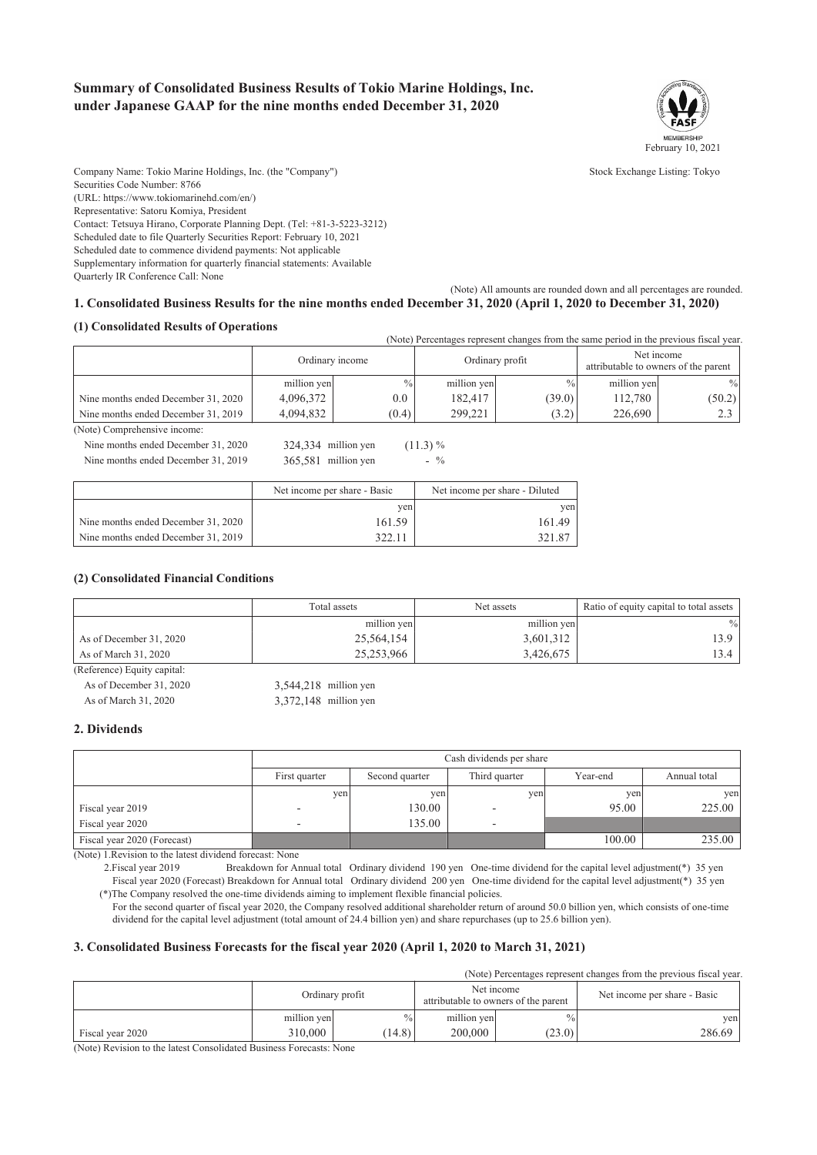### **Summary of Consolidated Business Results of Tokio Marine Holdings, Inc. under Japanese GAAP for the nine months ended December 31, 2020**



Company Name: Tokio Marine Holdings, Inc. (the "Company") Stock Exchange Listing: Tokyo Securities Code Number: 8766 (URL: https://www.tokiomarinehd.com/en/) Representative: Satoru Komiya, President Contact: Tetsuya Hirano, Corporate Planning Dept. (Tel: +81-3-5223-3212) Scheduled date to file Quarterly Securities Report: February 10, 2021 Scheduled date to commence dividend payments: Not applicable Supplementary information for quarterly financial statements: Available Quarterly IR Conference Call: None

#### (Note) All amounts are rounded down and all percentages are rounded. **1. Consolidated Business Results for the nine months ended December 31, 2020 (April 1, 2020 to December 31, 2020)**

#### **(1) Consolidated Results of Operations**

(Note) Percentages represent changes from the same period in the previous fiscal year.

|                                     | Ordinary income |               |             | Ordinary profit |             | Net income<br>attributable to owners of the parent |
|-------------------------------------|-----------------|---------------|-------------|-----------------|-------------|----------------------------------------------------|
|                                     | million yen     | $\frac{0}{0}$ | million yen | $\%$            | million yen | $\frac{0}{0}$                                      |
| Nine months ended December 31, 2020 | 4,096,372       | 0.0           | 182.417     | (39.0)          | 112.780     | (50.2)                                             |
| Nine months ended December 31, 2019 | 4.094.832       | (0.4)         | 299.221     | (3.2)           | 226.690     | 2 <sup>2</sup>                                     |

(Note) Comprehensive income: Nine months ended December 31, 2020 324,334 million yen (11.3) %

Nine months ended December 31, 2019 365,581 million yen - %

|                                     | Net income per share - Basic | Net income per share - Diluted |  |
|-------------------------------------|------------------------------|--------------------------------|--|
|                                     | ven                          | ven                            |  |
| Nine months ended December 31, 2020 | 161.59                       | 161.49                         |  |
| Nine months ended December 31, 2019 | 322.1 <sub>1</sub>           | 321.87                         |  |

#### **(2) Consolidated Financial Conditions**

|                             | Total assets | Net assets  | Ratio of equity capital to total assets |
|-----------------------------|--------------|-------------|-----------------------------------------|
|                             | million yen  | million yen | $\frac{0}{0}$                           |
| As of December 31, 2020     | 25,564,154   | 3,601,312   | 13.9                                    |
| As of March 31, 2020        | 25,253,966   | 3,426,675   | 13.4                                    |
| (Reference) Equity capital: |              |             |                                         |

As of December 31, 2020 3,544,218 million yen As of March 31, 2020 3,372,148 million yen

**2. Dividends**

|                             |                          | Cash dividends per share |               |          |              |  |
|-----------------------------|--------------------------|--------------------------|---------------|----------|--------------|--|
|                             | First quarter            | Second quarter           | Third quarter | Year-end | Annual total |  |
|                             | yen                      | yen                      | yen           | yen      | yen          |  |
| Fiscal year 2019            | $\overline{\phantom{a}}$ | 130.00                   |               | 95.00    | 225.00       |  |
| Fiscal year 2020            | -                        | 135.00                   |               |          |              |  |
| Fiscal year 2020 (Forecast) |                          |                          |               | 100.00   | 235.00       |  |

(Note) 1.Revision to the latest dividend forecast: None

2.Fiscal year 2019 Breakdown for Annual total Ordinary dividend 190 yen One-time dividend for the capital level adjustment(\*) 35 yen Fiscal year 2020 (Forecast) Breakdown for Annual total Ordinary dividend 200 yen One-time dividend for the capital level adjustment(\*) 35 yen (\*)The Company resolved the one-time dividends aiming to implement flexible financial policies.

 For the second quarter of fiscal year 2020, the Company resolved additional shareholder return of around 50.0 billion yen, which consists of one-time dividend for the capital level adjustment (total amount of 24.4 billion yen) and share repurchases (up to 25.6 billion yen).

### **3. Consolidated Business Forecasts for the fiscal year 2020 (April 1, 2020 to March 31, 2021)**

(Note) Percentages represent changes from the previous fiscal year.

|                  |             | Ordinary profit | Net income<br>attributable to owners of the parent |               | Net income per share - Basic |
|------------------|-------------|-----------------|----------------------------------------------------|---------------|------------------------------|
|                  | million yen | $\%$            | million yen                                        | $\frac{0}{0}$ | ven                          |
| Fiscal year 2020 | 310,000     | (14.8)          | 200,000                                            | (23.0)        | 286.69                       |

(Note) Revision to the latest Consolidated Business Forecasts: None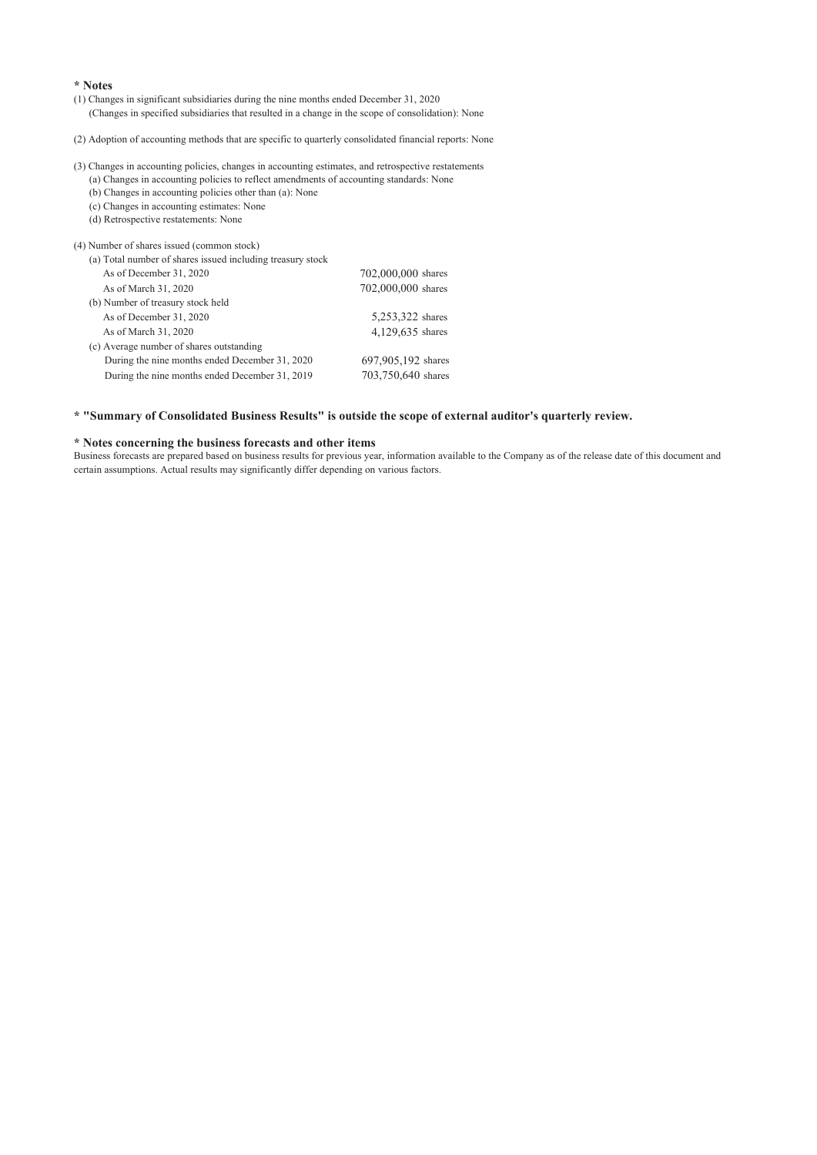#### **\* Notes**

(1) Changes in significant subsidiaries during the nine months ended December 31, 2020 (Changes in specified subsidiaries that resulted in a change in the scope of consolidation): None

(2) Adoption of accounting methods that are specific to quarterly consolidated financial reports: None

(3) Changes in accounting policies, changes in accounting estimates, and retrospective restatements

(a) Changes in accounting policies to reflect amendments of accounting standards: None (b) Changes in accounting policies other than (a): None

(c) Changes in accounting estimates: None

(d) Retrospective restatements: None

(4) Number of shares issued (common stock)

| r) i vallioci ol sharcs issucu (collillion stock)          |                    |
|------------------------------------------------------------|--------------------|
| (a) Total number of shares issued including treasury stock |                    |
| As of December 31, 2020                                    | 702,000,000 shares |
| As of March 31, 2020                                       | 702,000,000 shares |
| (b) Number of treasury stock held                          |                    |
| As of December 31, 2020                                    | 5,253,322 shares   |
| As of March 31, 2020                                       | 4,129,635 shares   |
| (c) Average number of shares outstanding                   |                    |
| During the nine months ended December 31, 2020             | 697,905,192 shares |
| During the nine months ended December 31, 2019             | 703,750,640 shares |
|                                                            |                    |

### **\* "Summary of Consolidated Business Results" is outside the scope of external auditor's quarterly review.**

#### **\* Notes concerning the business forecasts and other items**

Business forecasts are prepared based on business results for previous year, information available to the Company as of the release date of this document and certain assumptions. Actual results may significantly differ depending on various factors.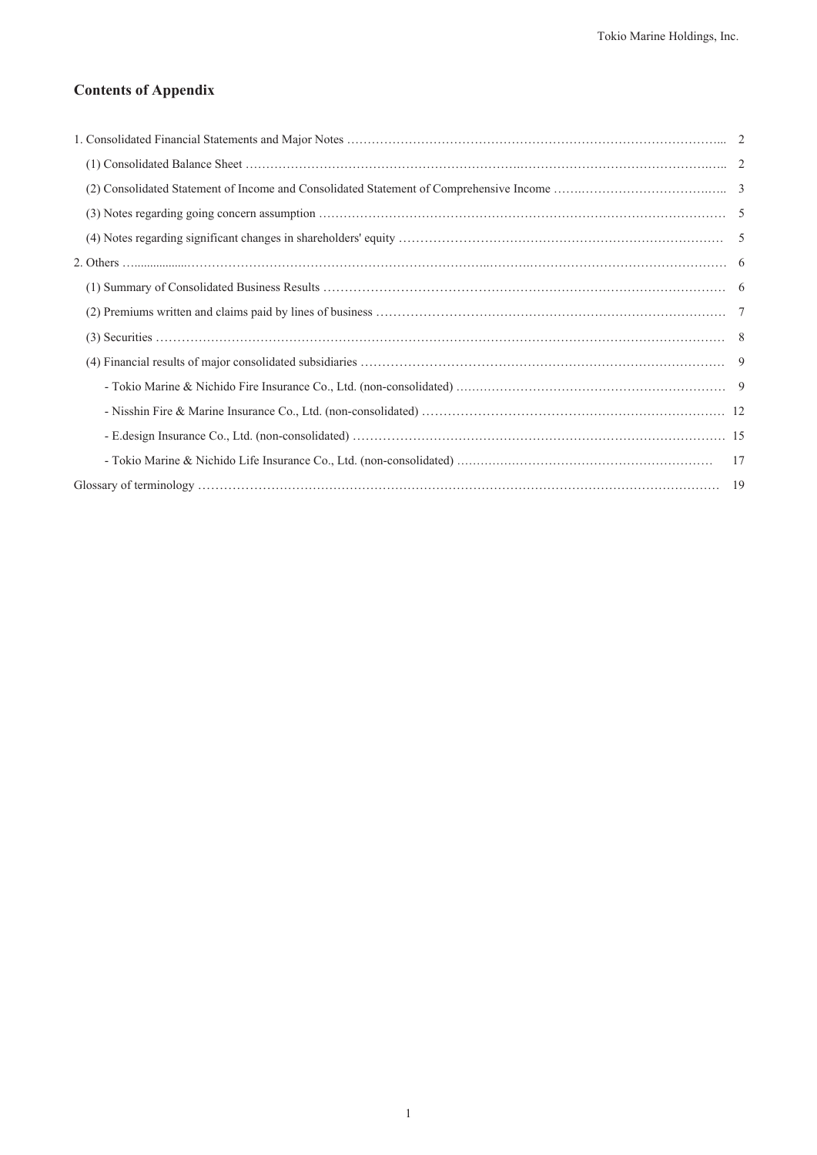## **Contents of Appendix**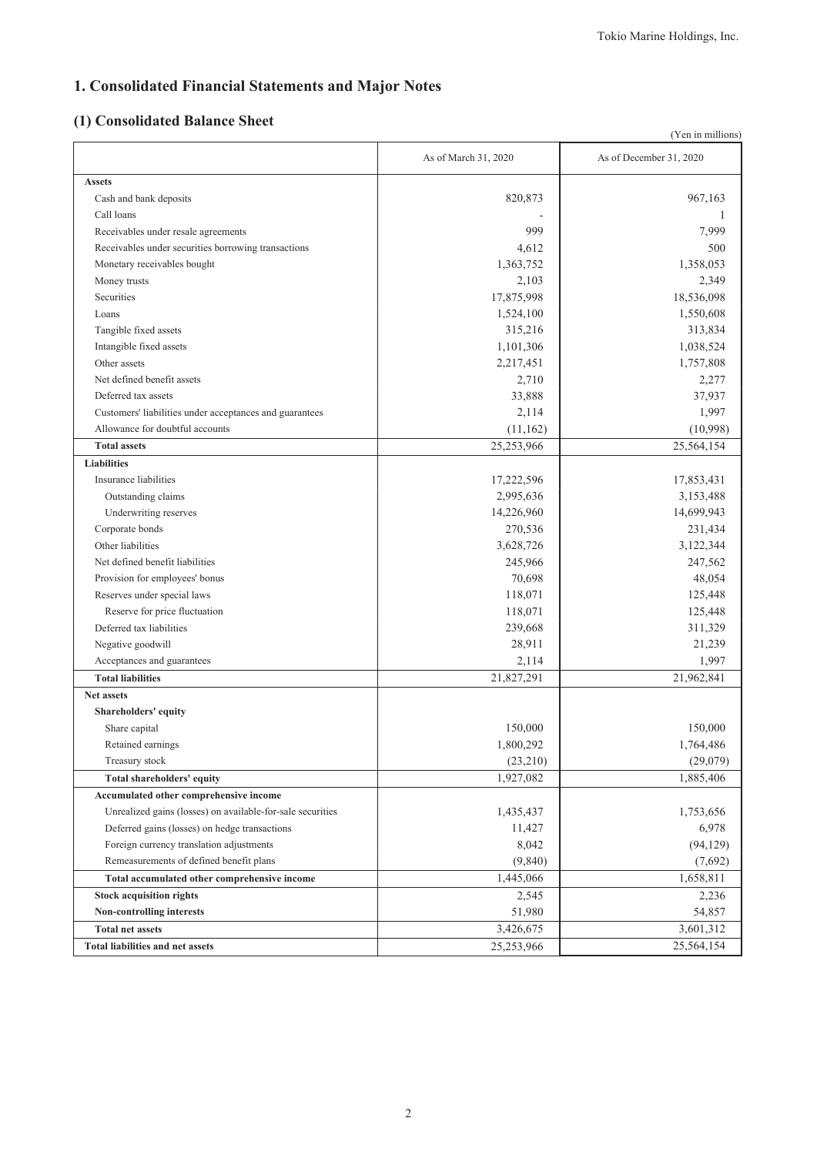# **1. Consolidated Financial Statements and Major Notes**

# **(1) Consolidated Balance Sheet**

|                                                            |                      | (Yen in millions)       |
|------------------------------------------------------------|----------------------|-------------------------|
|                                                            | As of March 31, 2020 | As of December 31, 2020 |
| <b>Assets</b>                                              |                      |                         |
| Cash and bank deposits                                     | 820,873              | 967,163                 |
| Call loans                                                 |                      | 1                       |
| Receivables under resale agreements                        | 999                  | 7,999                   |
| Receivables under securities borrowing transactions        | 4,612                | 500                     |
| Monetary receivables bought                                | 1,363,752            | 1,358,053               |
| Money trusts                                               | 2,103                | 2,349                   |
| Securities                                                 | 17,875,998           | 18,536,098              |
| Loans                                                      | 1,524,100            | 1,550,608               |
| Tangible fixed assets                                      | 315,216              | 313,834                 |
| Intangible fixed assets                                    | 1,101,306            | 1,038,524               |
| Other assets                                               | 2,217,451            | 1,757,808               |
| Net defined benefit assets                                 | 2,710                | 2,277                   |
| Deferred tax assets                                        | 33,888               | 37,937                  |
| Customers' liabilities under acceptances and guarantees    | 2,114                | 1,997                   |
| Allowance for doubtful accounts                            | (11, 162)            | (10,998)                |
| <b>Total assets</b>                                        | 25,253,966           | 25,564,154              |
| <b>Liabilities</b>                                         |                      |                         |
| Insurance liabilities                                      | 17,222,596           | 17,853,431              |
| Outstanding claims                                         | 2,995,636            | 3,153,488               |
| Underwriting reserves                                      | 14,226,960           | 14,699,943              |
| Corporate bonds                                            | 270,536              | 231,434                 |
| Other liabilities                                          | 3,628,726            | 3,122,344               |
| Net defined benefit liabilities                            | 245,966              | 247,562                 |
| Provision for employees' bonus                             | 70,698               | 48,054                  |
| Reserves under special laws                                | 118,071              | 125,448                 |
| Reserve for price fluctuation                              | 118,071              | 125,448                 |
| Deferred tax liabilities                                   | 239,668              | 311,329                 |
| Negative goodwill                                          | 28,911               | 21,239                  |
| Acceptances and guarantees                                 | 2,114                | 1,997                   |
| <b>Total liabilities</b>                                   | 21,827,291           | 21,962,841              |
| <b>Net assets</b>                                          |                      |                         |
| Shareholders' equity                                       |                      |                         |
| Share capital                                              | 150,000              | 150,000                 |
| Retained earnings                                          | 1,800,292            | 1,764,486               |
| Treasury stock                                             | (23,210)             | (29,079)                |
| <b>Total shareholders' equity</b>                          | 1,927,082            | 1,885,406               |
| Accumulated other comprehensive income                     |                      |                         |
| Unrealized gains (losses) on available-for-sale securities | 1,435,437            | 1,753,656               |
| Deferred gains (losses) on hedge transactions              | 11,427               | 6,978                   |
| Foreign currency translation adjustments                   | 8,042                | (94, 129)               |
| Remeasurements of defined benefit plans                    | (9,840)              | (7,692)                 |
| Total accumulated other comprehensive income               | 1,445,066            | 1,658,811               |
| <b>Stock acquisition rights</b>                            | 2,545                | 2,236                   |
| Non-controlling interests                                  | 51,980               | 54,857                  |
| <b>Total net assets</b>                                    | 3,426,675            | 3,601,312               |
| <b>Total liabilities and net assets</b>                    | 25,253,966           | 25,564,154              |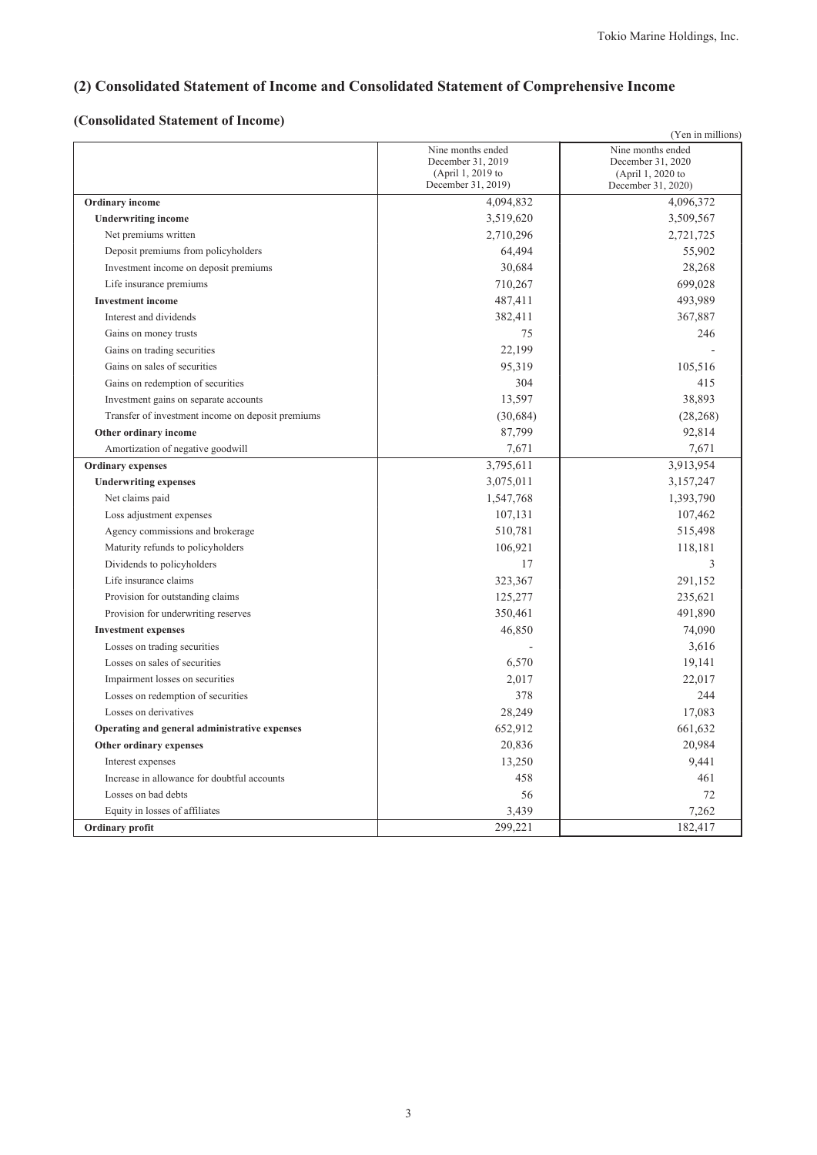# **(2) Consolidated Statement of Income and Consolidated Statement of Comprehensive Income**

## **(Consolidated Statement of Income)**

|                                                   |                                                                                   | (Yen in millions)                                                                 |
|---------------------------------------------------|-----------------------------------------------------------------------------------|-----------------------------------------------------------------------------------|
|                                                   | Nine months ended<br>December 31, 2019<br>(April 1, 2019 to<br>December 31, 2019) | Nine months ended<br>December 31, 2020<br>(April 1, 2020 to<br>December 31, 2020) |
| Ordinary income                                   | 4,094,832                                                                         | 4,096,372                                                                         |
| <b>Underwriting income</b>                        | 3,519,620                                                                         | 3,509,567                                                                         |
| Net premiums written                              | 2,710,296                                                                         | 2,721,725                                                                         |
| Deposit premiums from policyholders               | 64,494                                                                            | 55,902                                                                            |
| Investment income on deposit premiums             | 30,684                                                                            | 28,268                                                                            |
| Life insurance premiums                           | 710,267                                                                           | 699,028                                                                           |
| <b>Investment</b> income                          | 487,411                                                                           | 493,989                                                                           |
| Interest and dividends                            | 382,411                                                                           | 367,887                                                                           |
| Gains on money trusts                             | 75                                                                                | 246                                                                               |
| Gains on trading securities                       | 22,199                                                                            |                                                                                   |
| Gains on sales of securities                      | 95,319                                                                            | 105,516                                                                           |
| Gains on redemption of securities                 | 304                                                                               | 415                                                                               |
| Investment gains on separate accounts             | 13,597                                                                            | 38,893                                                                            |
| Transfer of investment income on deposit premiums | (30,684)                                                                          | (28, 268)                                                                         |
| Other ordinary income                             | 87,799                                                                            | 92,814                                                                            |
| Amortization of negative goodwill                 | 7,671                                                                             | 7,671                                                                             |
| <b>Ordinary expenses</b>                          | 3,795,611                                                                         | 3,913,954                                                                         |
| <b>Underwriting expenses</b>                      | 3,075,011                                                                         | 3,157,247                                                                         |
| Net claims paid                                   | 1,547,768                                                                         | 1,393,790                                                                         |
| Loss adjustment expenses                          | 107,131                                                                           | 107,462                                                                           |
| Agency commissions and brokerage                  | 510,781                                                                           | 515,498                                                                           |
| Maturity refunds to policyholders                 | 106,921                                                                           | 118,181                                                                           |
| Dividends to policyholders                        | 17                                                                                | 3                                                                                 |
| Life insurance claims                             | 323,367                                                                           | 291,152                                                                           |
| Provision for outstanding claims                  | 125,277                                                                           | 235,621                                                                           |
| Provision for underwriting reserves               | 350,461                                                                           | 491,890                                                                           |
| <b>Investment expenses</b>                        | 46,850                                                                            | 74,090                                                                            |
| Losses on trading securities                      |                                                                                   | 3,616                                                                             |
| Losses on sales of securities                     | 6,570                                                                             | 19,141                                                                            |
| Impairment losses on securities                   | 2,017                                                                             | 22,017                                                                            |
| Losses on redemption of securities                | 378                                                                               | 244                                                                               |
| Losses on derivatives                             | 28,249                                                                            | 17,083                                                                            |
| Operating and general administrative expenses     | 652,912                                                                           | 661,632                                                                           |
| Other ordinary expenses                           | 20,836                                                                            | 20,984                                                                            |
| Interest expenses                                 | 13,250                                                                            | 9,441                                                                             |
| Increase in allowance for doubtful accounts       | 458                                                                               | 461                                                                               |
| Losses on bad debts                               | 56                                                                                | 72                                                                                |
| Equity in losses of affiliates                    | 3,439                                                                             | 7,262                                                                             |
| Ordinary profit                                   | 299,221                                                                           | 182,417                                                                           |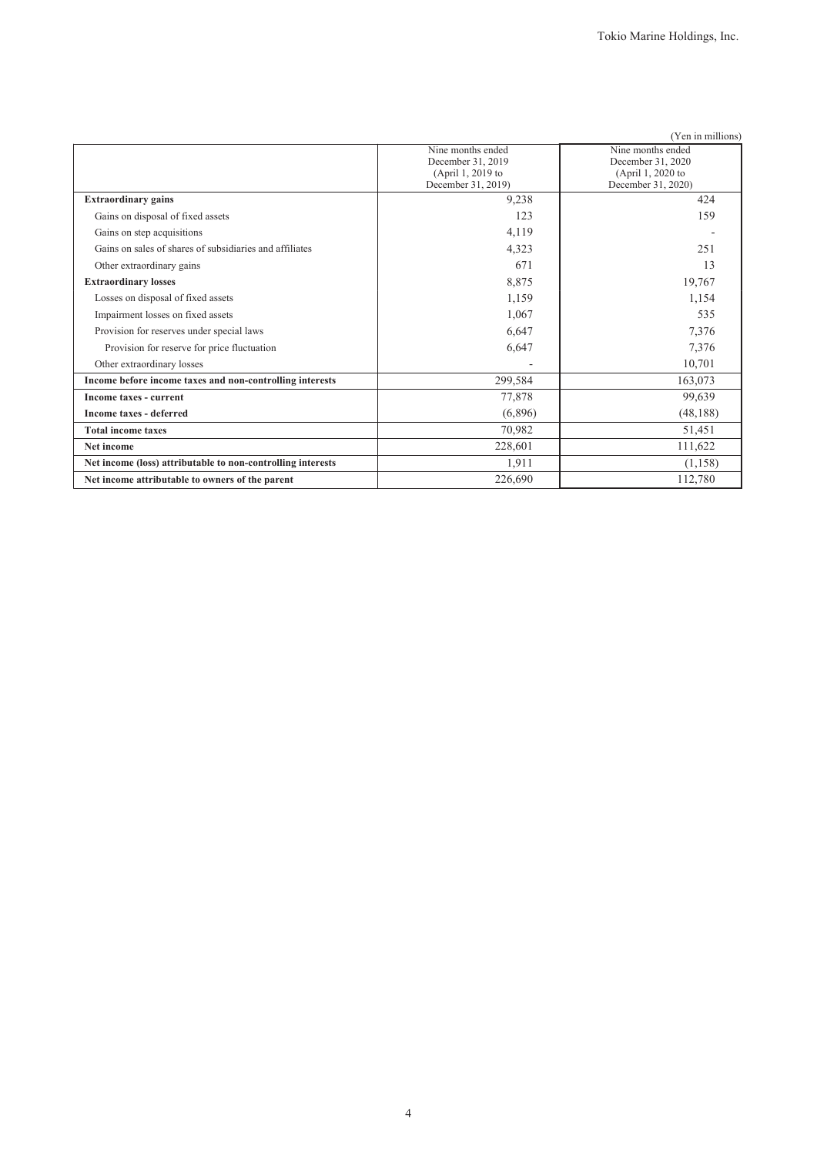|                                                             |                                         | (Yen in millions)                       |
|-------------------------------------------------------------|-----------------------------------------|-----------------------------------------|
|                                                             | Nine months ended                       | Nine months ended                       |
|                                                             | December 31, 2019                       | December 31, 2020                       |
|                                                             | (April 1, 2019 to<br>December 31, 2019) | (April 1, 2020 to<br>December 31, 2020) |
| <b>Extraordinary gains</b>                                  | 9,238                                   | 424                                     |
| Gains on disposal of fixed assets                           | 123                                     | 159                                     |
| Gains on step acquisitions                                  | 4,119                                   |                                         |
| Gains on sales of shares of subsidiaries and affiliates     | 4,323                                   | 251                                     |
| Other extraordinary gains                                   | 671                                     | 13                                      |
| <b>Extraordinary losses</b>                                 | 8,875                                   | 19,767                                  |
| Losses on disposal of fixed assets                          | 1,159                                   | 1,154                                   |
| Impairment losses on fixed assets                           | 1,067                                   | 535                                     |
| Provision for reserves under special laws                   | 6,647                                   | 7,376                                   |
| Provision for reserve for price fluctuation                 | 6,647                                   | 7,376                                   |
| Other extraordinary losses                                  |                                         | 10,701                                  |
| Income before income taxes and non-controlling interests    | 299,584                                 | 163,073                                 |
| Income taxes - current                                      | 77,878                                  | 99,639                                  |
| <b>Income taxes - deferred</b>                              | (6,896)                                 | (48, 188)                               |
| <b>Total income taxes</b>                                   | 70,982                                  | 51,451                                  |
| Net income                                                  | 228,601                                 | 111,622                                 |
| Net income (loss) attributable to non-controlling interests | 1,911                                   | (1,158)                                 |
| Net income attributable to owners of the parent             | 226,690                                 | 112,780                                 |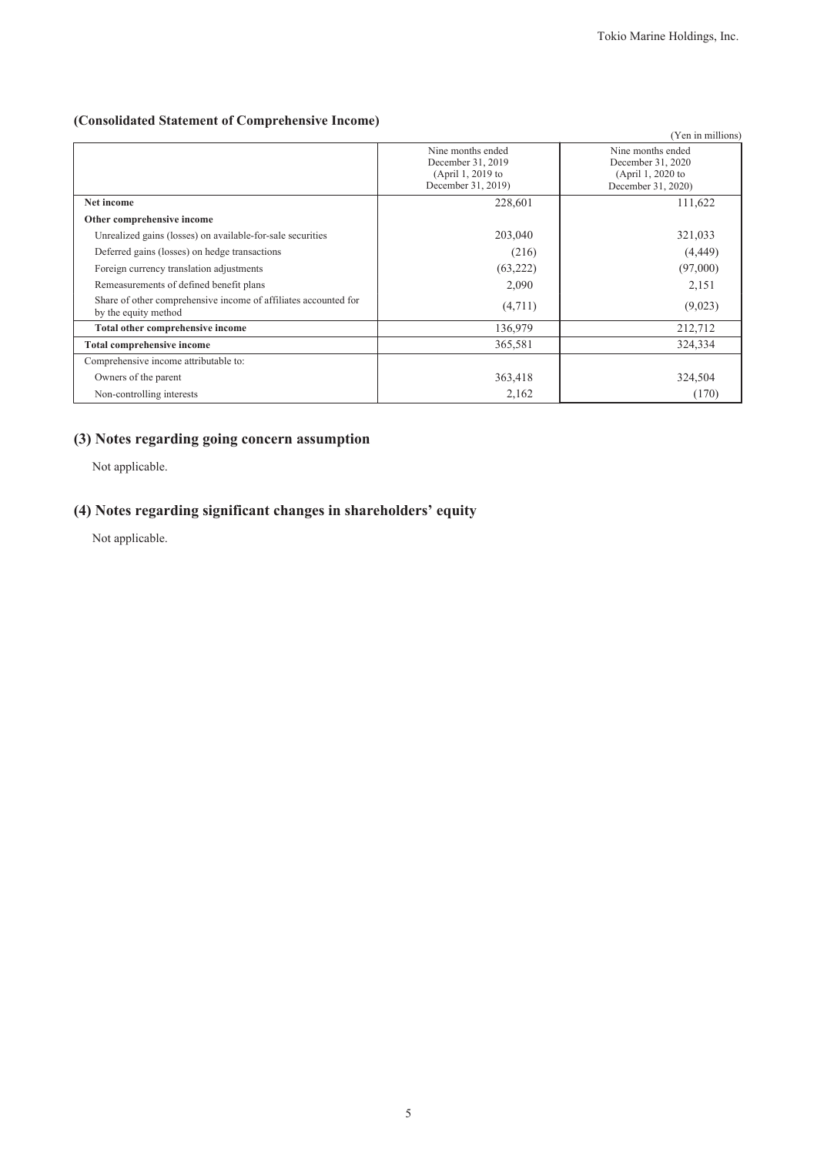### **(Consolidated Statement of Comprehensive Income)**

|                                                                                         |                                                                                   | (Yen in millions)                                                                 |
|-----------------------------------------------------------------------------------------|-----------------------------------------------------------------------------------|-----------------------------------------------------------------------------------|
|                                                                                         | Nine months ended<br>December 31, 2019<br>(April 1, 2019 to<br>December 31, 2019) | Nine months ended<br>December 31, 2020<br>(April 1, 2020 to<br>December 31, 2020) |
| Net income                                                                              | 228,601                                                                           | 111,622                                                                           |
| Other comprehensive income                                                              |                                                                                   |                                                                                   |
| Unrealized gains (losses) on available-for-sale securities                              | 203,040                                                                           | 321,033                                                                           |
| Deferred gains (losses) on hedge transactions                                           | (216)                                                                             | (4, 449)                                                                          |
| Foreign currency translation adjustments                                                | (63, 222)                                                                         | (97,000)                                                                          |
| Remeasurements of defined benefit plans                                                 | 2,090                                                                             | 2,151                                                                             |
| Share of other comprehensive income of affiliates accounted for<br>by the equity method | (4,711)                                                                           | (9,023)                                                                           |
| Total other comprehensive income                                                        | 136,979                                                                           | 212,712                                                                           |
| <b>Total comprehensive income</b>                                                       | 365,581                                                                           | 324,334                                                                           |
| Comprehensive income attributable to:                                                   |                                                                                   |                                                                                   |
| Owners of the parent                                                                    | 363,418                                                                           | 324,504                                                                           |
| Non-controlling interests                                                               | 2,162                                                                             | (170)                                                                             |

### **(3) Notes regarding going concern assumption**

Not applicable.

## **(4) Notes regarding significant changes in shareholders' equity**

Not applicable.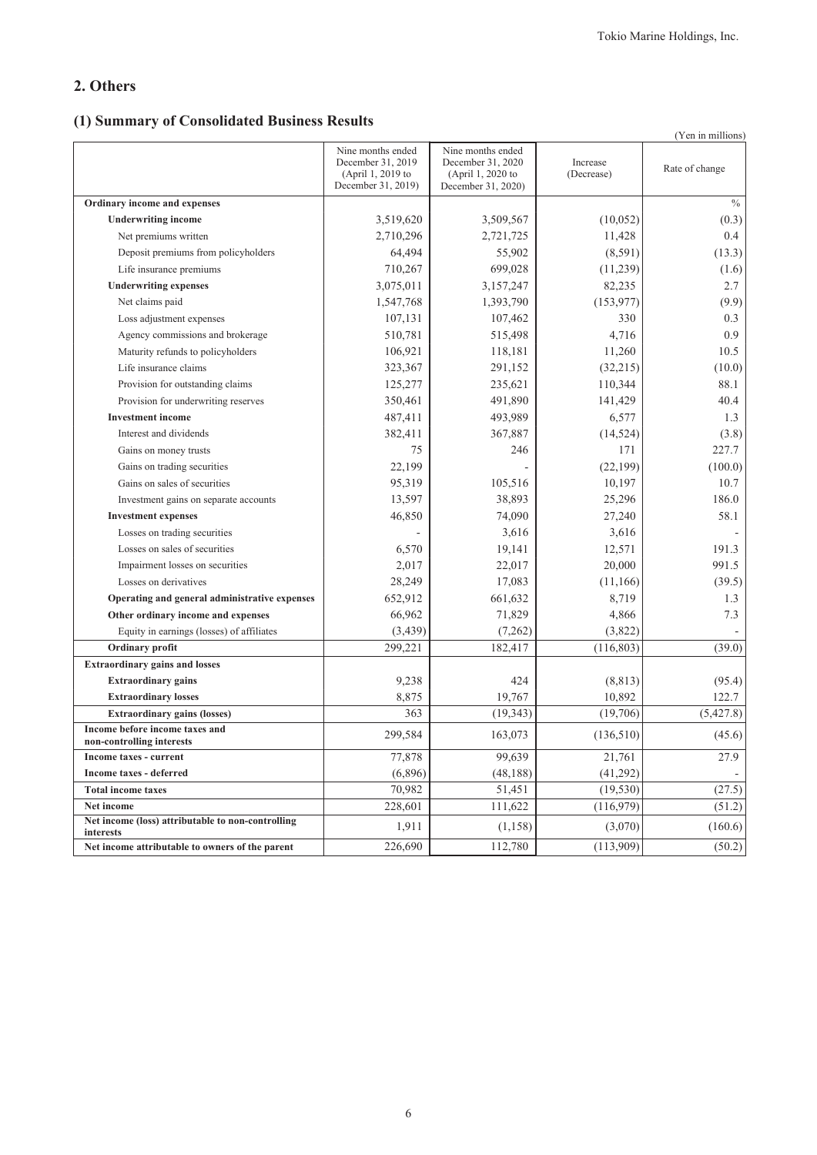### **2. Others**

## **(1) Summary of Consolidated Business Results**

|                                                                |                                                                                   |                                                                                   |                        | (Yen in millions) |
|----------------------------------------------------------------|-----------------------------------------------------------------------------------|-----------------------------------------------------------------------------------|------------------------|-------------------|
|                                                                | Nine months ended<br>December 31, 2019<br>(April 1, 2019 to<br>December 31, 2019) | Nine months ended<br>December 31, 2020<br>(April 1, 2020 to<br>December 31, 2020) | Increase<br>(Decrease) | Rate of change    |
| Ordinary income and expenses                                   |                                                                                   |                                                                                   |                        | $\%$              |
| <b>Underwriting income</b>                                     | 3,519,620                                                                         | 3,509,567                                                                         | (10,052)               | (0.3)             |
| Net premiums written                                           | 2,710,296                                                                         | 2,721,725                                                                         | 11,428                 | 0.4               |
| Deposit premiums from policyholders                            | 64,494                                                                            | 55,902                                                                            | (8,591)                | (13.3)            |
| Life insurance premiums                                        | 710,267                                                                           | 699,028                                                                           | (11,239)               | (1.6)             |
| <b>Underwriting expenses</b>                                   | 3,075,011                                                                         | 3,157,247                                                                         | 82,235                 | 2.7               |
| Net claims paid                                                | 1,547,768                                                                         | 1,393,790                                                                         | (153, 977)             | (9.9)             |
| Loss adjustment expenses                                       | 107,131                                                                           | 107,462                                                                           | 330                    | 0.3               |
| Agency commissions and brokerage                               | 510,781                                                                           | 515,498                                                                           | 4,716                  | 0.9               |
| Maturity refunds to policyholders                              | 106,921                                                                           | 118,181                                                                           | 11,260                 | 10.5              |
| Life insurance claims                                          | 323,367                                                                           | 291,152                                                                           | (32,215)               | (10.0)            |
| Provision for outstanding claims                               | 125,277                                                                           | 235,621                                                                           | 110,344                | 88.1              |
| Provision for underwriting reserves                            | 350,461                                                                           | 491,890                                                                           | 141,429                | 40.4              |
| <b>Investment</b> income                                       | 487,411                                                                           | 493,989                                                                           | 6,577                  | 1.3               |
| Interest and dividends                                         | 382,411                                                                           | 367,887                                                                           | (14, 524)              | (3.8)             |
| Gains on money trusts                                          | 75                                                                                | 246                                                                               | 171                    | 227.7             |
| Gains on trading securities                                    | 22,199                                                                            |                                                                                   | (22, 199)              | (100.0)           |
| Gains on sales of securities                                   | 95,319                                                                            | 105,516                                                                           | 10,197                 | 10.7              |
| Investment gains on separate accounts                          | 13,597                                                                            | 38,893                                                                            | 25,296                 | 186.0             |
| <b>Investment expenses</b>                                     | 46,850                                                                            | 74,090                                                                            | 27,240                 | 58.1              |
| Losses on trading securities                                   |                                                                                   | 3,616                                                                             | 3,616                  |                   |
| Losses on sales of securities                                  | 6,570                                                                             | 19,141                                                                            | 12,571                 | 191.3             |
| Impairment losses on securities                                | 2,017                                                                             | 22,017                                                                            | 20,000                 | 991.5             |
| Losses on derivatives                                          | 28,249                                                                            | 17,083                                                                            | (11,166)               | (39.5)            |
| Operating and general administrative expenses                  | 652,912                                                                           | 661,632                                                                           | 8,719                  | 1.3               |
| Other ordinary income and expenses                             | 66,962                                                                            | 71,829                                                                            | 4,866                  | 7.3               |
| Equity in earnings (losses) of affiliates                      | (3, 439)                                                                          | (7,262)                                                                           | (3,822)                |                   |
| Ordinary profit                                                | 299,221                                                                           | 182,417                                                                           | (116, 803)             | (39.0)            |
| <b>Extraordinary gains and losses</b>                          |                                                                                   |                                                                                   |                        |                   |
| <b>Extraordinary gains</b>                                     | 9,238                                                                             | 424                                                                               | (8, 813)               | (95.4)            |
| <b>Extraordinary losses</b>                                    | 8,875                                                                             | 19,767                                                                            | 10,892                 | 122.7             |
| <b>Extraordinary gains (losses)</b>                            | 363                                                                               | (19, 343)                                                                         | (19,706)               | (5,427.8)         |
| Income before income taxes and<br>non-controlling interests    | 299,584                                                                           | 163,073                                                                           | (136,510)              | (45.6)            |
| Income taxes - current                                         | 77,878                                                                            | 99,639                                                                            | 21,761                 | 27.9              |
| <b>Income taxes - deferred</b>                                 | (6,896)                                                                           | (48, 188)                                                                         | (41, 292)              |                   |
| <b>Total income taxes</b>                                      | 70,982                                                                            | 51,451                                                                            | (19, 530)              | (27.5)            |
| Net income                                                     | 228,601                                                                           | 111,622                                                                           | (116,979)              | (51.2)            |
| Net income (loss) attributable to non-controlling<br>interests | 1,911                                                                             | (1, 158)                                                                          | (3,070)                | (160.6)           |
| Net income attributable to owners of the parent                | 226,690                                                                           | 112,780                                                                           | (113,909)              | (50.2)            |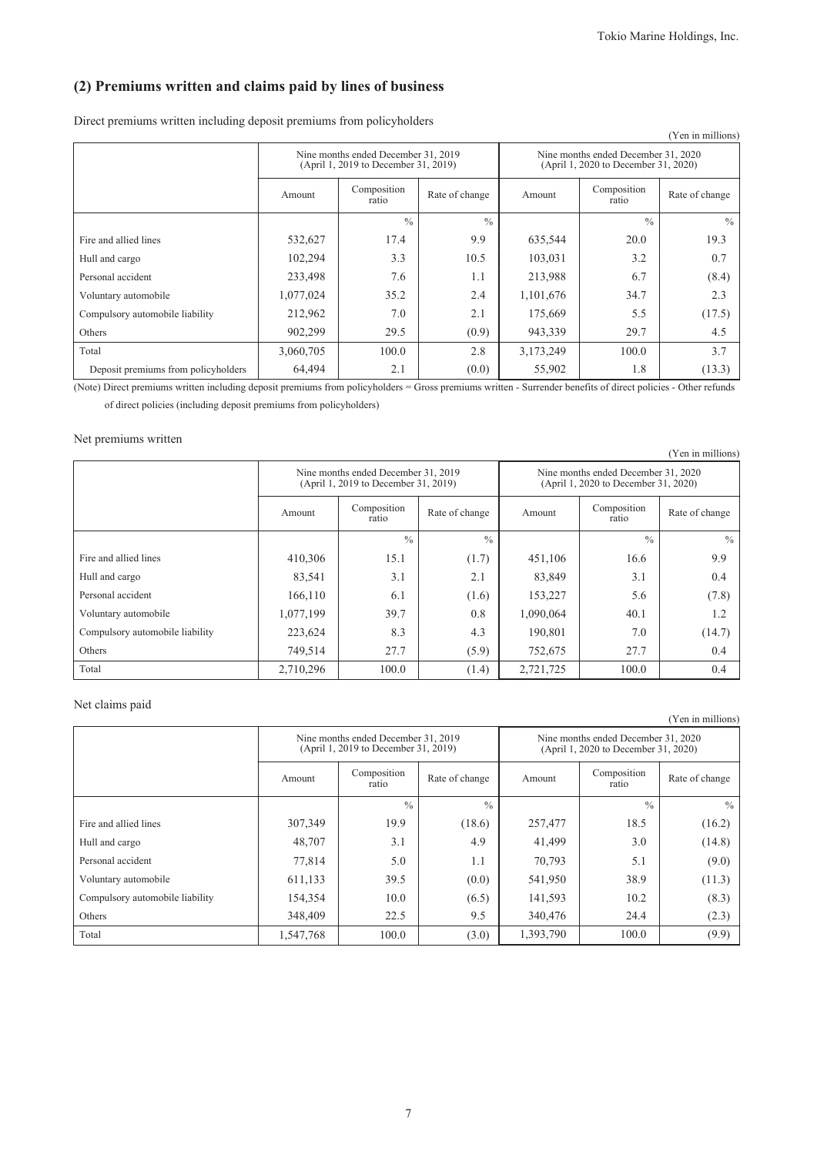### **(2) Premiums written and claims paid by lines of business**

Direct premiums written including deposit premiums from policyholders

|                                     |                                                                             |                      |                |                                                                             |                      | (Yen in millions) |
|-------------------------------------|-----------------------------------------------------------------------------|----------------------|----------------|-----------------------------------------------------------------------------|----------------------|-------------------|
|                                     | Nine months ended December 31, 2019<br>(April 1, 2019 to December 31, 2019) |                      |                | Nine months ended December 31, 2020<br>(April 1, 2020 to December 31, 2020) |                      |                   |
|                                     | Amount                                                                      | Composition<br>ratio | Rate of change | Amount                                                                      | Composition<br>ratio | Rate of change    |
|                                     |                                                                             | $\frac{0}{0}$        | $\frac{0}{0}$  |                                                                             | $\frac{0}{0}$        | $\frac{0}{0}$     |
| Fire and allied lines               | 532,627                                                                     | 17.4                 | 9.9            | 635,544                                                                     | 20.0                 | 19.3              |
| Hull and cargo                      | 102,294                                                                     | 3.3                  | 10.5           | 103,031                                                                     | 3.2                  | 0.7               |
| Personal accident                   | 233,498                                                                     | 7.6                  | 1.1            | 213,988                                                                     | 6.7                  | (8.4)             |
| Voluntary automobile                | 1,077,024                                                                   | 35.2                 | 2.4            | 1,101,676                                                                   | 34.7                 | 2.3               |
| Compulsory automobile liability     | 212,962                                                                     | 7.0                  | 2.1            | 175,669                                                                     | 5.5                  | (17.5)            |
| Others                              | 902,299                                                                     | 29.5                 | (0.9)          | 943,339                                                                     | 29.7                 | 4.5               |
| Total                               | 3,060,705                                                                   | 100.0                | 2.8            | 3,173,249                                                                   | 100.0                | 3.7               |
| Deposit premiums from policyholders | 64,494                                                                      | 2.1                  | (0.0)          | 55,902                                                                      | 1.8                  | (13.3)            |

(Note) Direct premiums written including deposit premiums from policyholders = Gross premiums written - Surrender benefits of direct policies - Other refunds of direct policies (including deposit premiums from policyholders)

#### Net premiums written

|                                 |           |                                                                             |                |                                                                             |                      | (Yen in millions) |
|---------------------------------|-----------|-----------------------------------------------------------------------------|----------------|-----------------------------------------------------------------------------|----------------------|-------------------|
|                                 |           | Nine months ended December 31, 2019<br>(April 1, 2019 to December 31, 2019) |                | Nine months ended December 31, 2020<br>(April 1, 2020 to December 31, 2020) |                      |                   |
|                                 | Amount    | Composition<br>ratio                                                        | Rate of change | Amount                                                                      | Composition<br>ratio | Rate of change    |
|                                 |           | $\frac{0}{0}$                                                               | $\frac{0}{0}$  |                                                                             | $\frac{0}{0}$        | $\frac{0}{0}$     |
| Fire and allied lines           | 410,306   | 15.1                                                                        | (1.7)          | 451,106                                                                     | 16.6                 | 9.9               |
| Hull and cargo                  | 83,541    | 3.1                                                                         | 2.1            | 83,849                                                                      | 3.1                  | 0.4               |
| Personal accident               | 166,110   | 6.1                                                                         | (1.6)          | 153,227                                                                     | 5.6                  | (7.8)             |
| Voluntary automobile            | 1,077,199 | 39.7                                                                        | 0.8            | 1,090,064                                                                   | 40.1                 | 1.2               |
| Compulsory automobile liability | 223,624   | 8.3                                                                         | 4.3            | 190,801                                                                     | 7.0                  | (14.7)            |
| Others                          | 749,514   | 27.7                                                                        | (5.9)          | 752,675                                                                     | 27.7                 | 0.4               |
| Total                           | 2,710,296 | 100.0                                                                       | (1.4)          | 2,721,725                                                                   | 100.0                | 0.4               |

### Net claims paid

|                                 |           | Nine months ended December 31, 2019<br>(April 1, 2019 to December 31, 2019) |                | Nine months ended December 31, 2020<br>(April 1, 2020 to December 31, 2020) |                      |                |
|---------------------------------|-----------|-----------------------------------------------------------------------------|----------------|-----------------------------------------------------------------------------|----------------------|----------------|
|                                 | Amount    | Composition<br>ratio                                                        | Rate of change | Amount                                                                      | Composition<br>ratio | Rate of change |
|                                 |           | $\frac{0}{0}$                                                               | $\frac{0}{0}$  |                                                                             | $\frac{0}{0}$        | $\frac{0}{0}$  |
| Fire and allied lines           | 307,349   | 19.9                                                                        | (18.6)         | 257,477                                                                     | 18.5                 | (16.2)         |
| Hull and cargo                  | 48,707    | 3.1                                                                         | 4.9            | 41,499                                                                      | 3.0                  | (14.8)         |
| Personal accident               | 77,814    | 5.0                                                                         | 1.1            | 70,793                                                                      | 5.1                  | (9.0)          |
| Voluntary automobile            | 611,133   | 39.5                                                                        | (0.0)          | 541,950                                                                     | 38.9                 | (11.3)         |
| Compulsory automobile liability | 154,354   | 10.0                                                                        | (6.5)          | 141,593                                                                     | 10.2                 | (8.3)          |
| Others                          | 348,409   | 22.5                                                                        | 9.5            | 340,476                                                                     | 24.4                 | (2.3)          |
| Total                           | 1,547,768 | 100.0                                                                       | (3.0)          | 1,393,790                                                                   | 100.0                | (9.9)          |

(Yen in millions)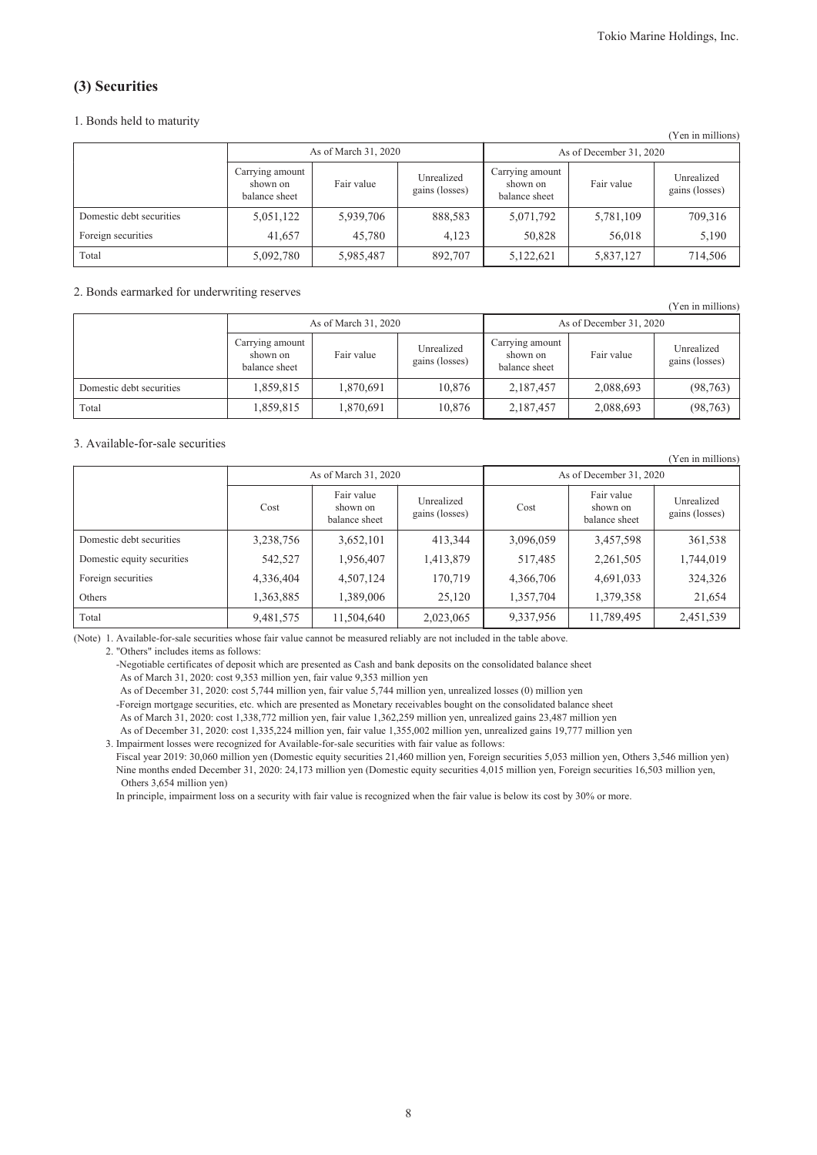(Yen in millions)

### **(3) Securities**

#### 1. Bonds held to maturity

| I CII III IIIIIIIIOIIS)  |                                              |            |                              |                                              |            |                              |  |
|--------------------------|----------------------------------------------|------------|------------------------------|----------------------------------------------|------------|------------------------------|--|
|                          | As of March 31, 2020                         |            |                              | As of December 31, 2020                      |            |                              |  |
|                          | Carrying amount<br>shown on<br>balance sheet | Fair value | Unrealized<br>gains (losses) | Carrying amount<br>shown on<br>balance sheet | Fair value | Unrealized<br>gains (losses) |  |
| Domestic debt securities | 5,051,122                                    | 5,939,706  | 888,583                      | 5,071,792                                    | 5,781,109  | 709,316                      |  |
| Foreign securities       | 41,657                                       | 45,780     | 4,123                        | 50,828                                       | 56,018     | 5,190                        |  |
| Total                    | 5,092,780                                    | 5,985,487  | 892.707                      | 5,122,621                                    | 5,837,127  | 714,506                      |  |

#### 2. Bonds earmarked for underwriting reserves

|                          |                                              |            |                              |                                              |            | (Yen in millions)            |  |
|--------------------------|----------------------------------------------|------------|------------------------------|----------------------------------------------|------------|------------------------------|--|
| As of March 31, 2020     |                                              |            |                              | As of December 31, 2020                      |            |                              |  |
|                          | Carrying amount<br>shown on<br>balance sheet | Fair value | Unrealized<br>gains (losses) | Carrying amount<br>shown on<br>balance sheet | Fair value | Unrealized<br>gains (losses) |  |
| Domestic debt securities | 1,859,815                                    | 1,870,691  | 10.876                       | 2,187,457                                    | 2,088,693  | (98, 763)                    |  |
| Total                    | 1,859,815                                    | 1,870,691  | 10,876                       | 2,187,457                                    | 2,088,693  | (98, 763)                    |  |

#### 3. Available-for-sale securities

|                            |           |                                         |                              |           |                                         | (Yen in millions)            |
|----------------------------|-----------|-----------------------------------------|------------------------------|-----------|-----------------------------------------|------------------------------|
|                            |           | As of March 31, 2020                    |                              |           | As of December 31, 2020                 |                              |
|                            | Cost      | Fair value<br>shown on<br>balance sheet | Unrealized<br>gains (losses) | Cost      | Fair value<br>shown on<br>balance sheet | Unrealized<br>gains (losses) |
| Domestic debt securities   | 3,238,756 | 3,652,101                               | 413,344                      | 3,096,059 | 3,457,598                               | 361,538                      |
| Domestic equity securities | 542,527   | 1,956,407                               | 1,413,879                    | 517,485   | 2,261,505                               | 1,744,019                    |
| Foreign securities         | 4,336,404 | 4,507,124                               | 170,719                      | 4,366,706 | 4,691,033                               | 324,326                      |
| Others                     | 1,363,885 | 1,389,006                               | 25,120                       | 1,357,704 | 1,379,358                               | 21,654                       |
| Total                      | 9,481,575 | 11,504,640                              | 2,023,065                    | 9,337,956 | 11,789,495                              | 2,451,539                    |

(Note) 1. Available-for-sale securities whose fair value cannot be measured reliably are not included in the table above.

2. "Others" includes items as follows:

-Negotiable certificates of deposit which are presented as Cash and bank deposits on the consolidated balance sheet As of March 31, 2020: cost 9,353 million yen, fair value 9,353 million yen

As of December 31, 2020: cost 5,744 million yen, fair value 5,744 million yen, unrealized losses (0) million yen -Foreign mortgage securities, etc. which are presented as Monetary receivables bought on the consolidated balance sheet As of March 31, 2020: cost 1,338,772 million yen, fair value 1,362,259 million yen, unrealized gains 23,487 million yen

As of December 31, 2020: cost 1,335,224 million yen, fair value 1,355,002 million yen, unrealized gains 19,777 million yen

3. Impairment losses were recognized for Available-for-sale securities with fair value as follows: Fiscal year 2019: 30,060 million yen (Domestic equity securities 21,460 million yen, Foreign securities 5,053 million yen, Others 3,546 million yen) Nine months ended December 31, 2020: 24,173 million yen (Domestic equity securities 4,015 million yen, Foreign securities 16,503 million yen, Others 3,654 million yen)

In principle, impairment loss on a security with fair value is recognized when the fair value is below its cost by 30% or more.

8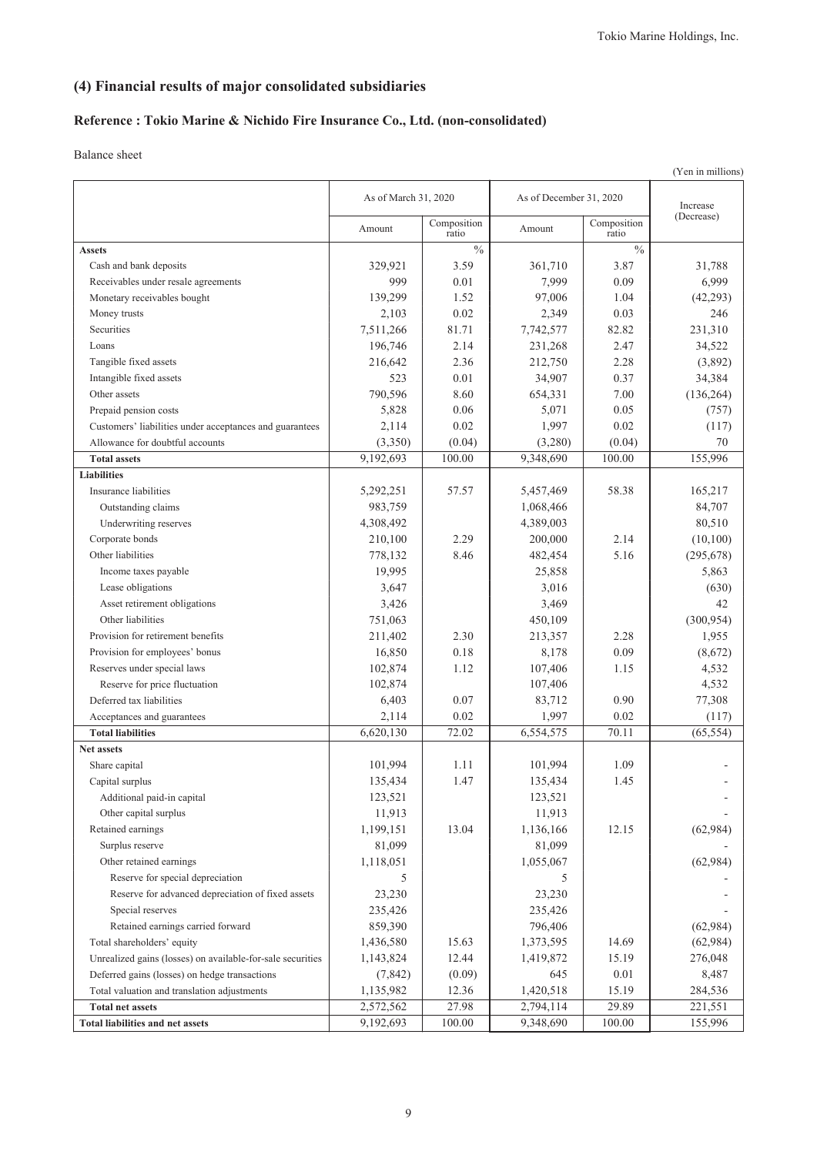## **(4) Financial results of major consolidated subsidiaries**

### **Reference : Tokio Marine & Nichido Fire Insurance Co., Ltd. (non-consolidated)**

|                                                            |                      |                      |                         |                      | (Yen in millions) |
|------------------------------------------------------------|----------------------|----------------------|-------------------------|----------------------|-------------------|
|                                                            | As of March 31, 2020 |                      | As of December 31, 2020 |                      | Increase          |
|                                                            | Amount               | Composition<br>ratio | Amount                  | Composition<br>ratio | (Decrease)        |
| <b>Assets</b>                                              |                      | $\frac{0}{0}$        |                         | $\frac{0}{0}$        |                   |
| Cash and bank deposits                                     | 329,921              | 3.59                 | 361,710                 | 3.87                 | 31,788            |
| Receivables under resale agreements                        | 999                  | 0.01                 | 7,999                   | 0.09                 | 6,999             |
| Monetary receivables bought                                | 139,299              | 1.52                 | 97,006                  | 1.04                 | (42, 293)         |
| Money trusts                                               | 2,103                | 0.02                 | 2,349                   | 0.03                 | 246               |
| Securities                                                 | 7,511,266            | 81.71                | 7,742,577               | 82.82                | 231,310           |
| Loans                                                      | 196,746              | 2.14                 | 231,268                 | 2.47                 | 34,522            |
| Tangible fixed assets                                      | 216,642              | 2.36                 | 212,750                 | 2.28                 | (3,892)           |
| Intangible fixed assets                                    | 523                  | 0.01                 | 34,907                  | 0.37                 | 34,384            |
| Other assets                                               | 790,596              | 8.60                 | 654,331                 | 7.00                 | (136, 264)        |
| Prepaid pension costs                                      | 5,828                | 0.06                 | 5,071                   | 0.05                 | (757)             |
| Customers' liabilities under acceptances and guarantees    | 2,114                | 0.02                 | 1,997                   | 0.02                 | (117)             |
| Allowance for doubtful accounts                            | (3,350)              | (0.04)               | (3,280)                 | (0.04)               | 70                |
| <b>Total assets</b>                                        | 9,192,693            | 100.00               | 9,348,690               | 100.00               | 155,996           |
| <b>Liabilities</b>                                         |                      |                      |                         |                      |                   |
| Insurance liabilities                                      | 5,292,251            | 57.57                | 5,457,469               | 58.38                | 165,217           |
| Outstanding claims                                         | 983,759              |                      | 1,068,466               |                      | 84,707            |
| Underwriting reserves                                      | 4,308,492            |                      | 4,389,003               |                      | 80,510            |
| Corporate bonds                                            | 210,100              | 2.29                 | 200,000                 | 2.14                 | (10,100)          |
| Other liabilities                                          | 778,132              | 8.46                 | 482,454                 | 5.16                 | (295, 678)        |
| Income taxes payable                                       | 19,995               |                      | 25,858                  |                      | 5,863             |
| Lease obligations                                          | 3,647                |                      | 3,016                   |                      | (630)             |
| Asset retirement obligations                               | 3,426                |                      | 3,469                   |                      | 42                |
| Other liabilities                                          | 751,063              |                      | 450,109                 |                      | (300, 954)        |
| Provision for retirement benefits                          | 211,402              | 2.30                 | 213,357                 | 2.28                 | 1,955             |
| Provision for employees' bonus                             | 16,850               | 0.18                 | 8,178                   | 0.09                 | (8,672)           |
| Reserves under special laws                                | 102,874              | 1.12                 | 107,406                 | 1.15                 | 4,532             |
| Reserve for price fluctuation                              | 102,874              |                      | 107,406                 |                      | 4,532             |
| Deferred tax liabilities                                   | 6,403                | 0.07                 | 83,712                  | 0.90                 | 77,308            |
| Acceptances and guarantees                                 | 2,114                | 0.02                 | 1,997                   | 0.02                 | (117)             |
| <b>Total liabilities</b>                                   | 6,620,130            | 72.02                | 6,554,575               | 70.11                | (65, 554)         |
| Net assets                                                 |                      |                      |                         |                      |                   |
| Share capital                                              | 101,994              | 1.11                 | 101,994                 | 1.09                 |                   |
| Capital surplus                                            | 135,434              | 1.47                 | 135,434                 | 1.45                 |                   |
| Additional paid-in capital                                 | 123,521              |                      | 123,521                 |                      |                   |
| Other capital surplus                                      | 11,913               |                      | 11,913                  |                      |                   |
| Retained earnings                                          | 1,199,151            | 13.04                | 1,136,166               | 12.15                | (62,984)          |
| Surplus reserve                                            | 81,099               |                      | 81,099                  |                      |                   |
| Other retained earnings                                    | 1,118,051            |                      | 1,055,067               |                      | (62,984)          |
| Reserve for special depreciation                           | 5                    |                      | 5                       |                      |                   |
| Reserve for advanced depreciation of fixed assets          | 23,230               |                      | 23,230                  |                      |                   |
| Special reserves                                           | 235,426              |                      | 235,426                 |                      |                   |
| Retained earnings carried forward                          | 859,390              |                      | 796,406                 |                      | (62,984)          |
| Total shareholders' equity                                 | 1,436,580            | 15.63                | 1,373,595               | 14.69                | (62,984)          |
| Unrealized gains (losses) on available-for-sale securities | 1,143,824            | 12.44                | 1,419,872               | 15.19                | 276,048           |
| Deferred gains (losses) on hedge transactions              | (7, 842)             | (0.09)               | 645                     | 0.01                 | 8,487             |
| Total valuation and translation adjustments                | 1,135,982            | 12.36                | 1,420,518               | 15.19                | 284,536           |
| <b>Total net assets</b>                                    | 2,572,562            | 27.98                | 2,794,114               | 29.89                | 221,551           |
| <b>Total liabilities and net assets</b>                    | 9,192,693            | 100.00               | 9,348,690               | 100.00               | 155,996           |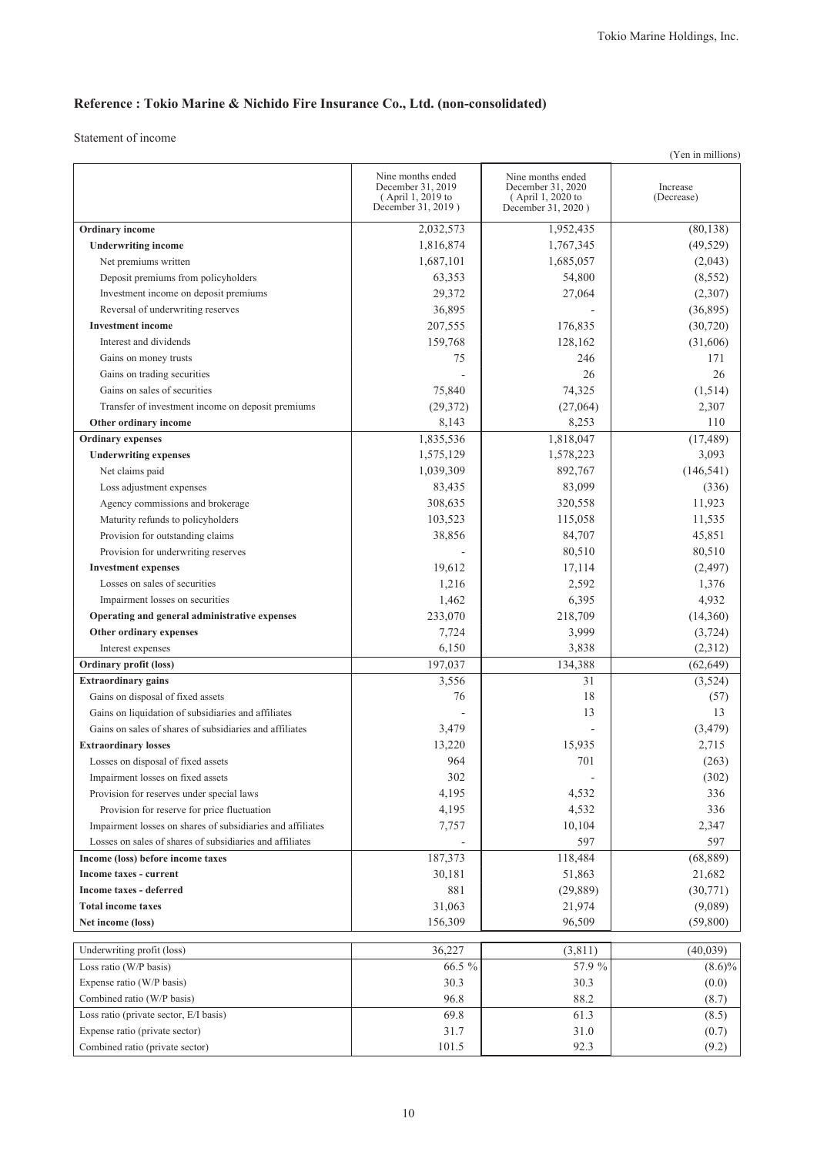# **Reference : Tokio Marine & Nichido Fire Insurance Co., Ltd. (non-consolidated)**

|                                                             |                                                                                   |                                                                                   | (Yen in millions)      |
|-------------------------------------------------------------|-----------------------------------------------------------------------------------|-----------------------------------------------------------------------------------|------------------------|
|                                                             | Nine months ended<br>December 31, 2019<br>(April 1, 2019 to<br>December 31, 2019) | Nine months ended<br>December 31, 2020<br>(April 1, 2020 to<br>December 31, 2020) | Increase<br>(Decrease) |
| Ordinary income                                             | 2,032,573                                                                         | 1,952,435                                                                         | (80, 138)              |
| <b>Underwriting income</b>                                  | 1,816,874                                                                         | 1,767,345                                                                         | (49, 529)              |
| Net premiums written                                        | 1,687,101                                                                         | 1,685,057                                                                         | (2,043)                |
| Deposit premiums from policyholders                         | 63,353                                                                            | 54,800                                                                            | (8, 552)               |
| Investment income on deposit premiums                       | 29,372                                                                            | 27,064                                                                            | (2,307)                |
| Reversal of underwriting reserves                           | 36,895                                                                            |                                                                                   | (36,895)               |
| <b>Investment</b> income                                    | 207,555                                                                           | 176,835                                                                           | (30, 720)              |
| Interest and dividends                                      | 159,768                                                                           | 128,162                                                                           | (31,606)               |
| Gains on money trusts                                       | 75                                                                                | 246                                                                               | 171                    |
| Gains on trading securities                                 |                                                                                   | 26                                                                                | 26                     |
| Gains on sales of securities                                | 75,840                                                                            | 74,325                                                                            | (1,514)                |
| Transfer of investment income on deposit premiums           | (29, 372)                                                                         | (27,064)                                                                          | 2,307                  |
| Other ordinary income                                       | 8,143                                                                             | 8,253                                                                             | 110                    |
| <b>Ordinary</b> expenses                                    | 1,835,536                                                                         | 1,818,047                                                                         | (17, 489)              |
| <b>Underwriting expenses</b>                                | 1,575,129                                                                         | 1,578,223                                                                         | 3,093                  |
| Net claims paid                                             | 1,039,309                                                                         | 892,767                                                                           | (146, 541)             |
| Loss adjustment expenses                                    | 83,435                                                                            | 83,099                                                                            | (336)                  |
| Agency commissions and brokerage                            | 308,635                                                                           | 320,558                                                                           | 11,923                 |
| Maturity refunds to policyholders                           | 103,523                                                                           | 115,058                                                                           | 11,535                 |
| Provision for outstanding claims                            | 38,856                                                                            | 84,707                                                                            | 45,851                 |
| Provision for underwriting reserves                         |                                                                                   | 80,510                                                                            | 80,510                 |
|                                                             |                                                                                   |                                                                                   |                        |
| <b>Investment expenses</b><br>Losses on sales of securities | 19,612<br>1,216                                                                   | 17,114<br>2,592                                                                   | (2, 497)<br>1,376      |
|                                                             | 1,462                                                                             | 6,395                                                                             | 4,932                  |
| Impairment losses on securities                             |                                                                                   |                                                                                   |                        |
| Operating and general administrative expenses               | 233,070                                                                           | 218,709                                                                           | (14,360)               |
| Other ordinary expenses                                     | 7,724                                                                             | 3,999                                                                             | (3, 724)               |
| Interest expenses                                           | 6,150                                                                             | 3,838                                                                             | (2,312)                |
| <b>Ordinary profit (loss)</b><br><b>Extraordinary gains</b> | 197,037                                                                           | 134,388<br>31                                                                     | (62, 649)              |
| Gains on disposal of fixed assets                           | 3,556                                                                             | 18                                                                                | (3,524)                |
| Gains on liquidation of subsidiaries and affiliates         | 76                                                                                |                                                                                   | (57)                   |
|                                                             |                                                                                   | 13                                                                                | 13                     |
| Gains on sales of shares of subsidiaries and affiliates     | 3,479                                                                             |                                                                                   | (3, 479)               |
| <b>Extraordinary losses</b>                                 | 13,220                                                                            | 15,935                                                                            | 2,715                  |
| Losses on disposal of fixed assets                          | 964                                                                               | 701                                                                               | (263)                  |
| Impairment losses on fixed assets                           | 302                                                                               |                                                                                   | (302)                  |
| Provision for reserves under special laws                   | 4,195                                                                             | 4,532                                                                             | 336                    |
| Provision for reserve for price fluctuation                 | 4,195                                                                             | 4,532                                                                             | 336                    |
| Impairment losses on shares of subsidiaries and affiliates  | 7,757                                                                             | 10,104                                                                            | 2,347                  |
| Losses on sales of shares of subsidiaries and affiliates    |                                                                                   | 597                                                                               | 597                    |
| Income (loss) before income taxes                           | 187,373                                                                           | 118,484                                                                           | (68, 889)              |
| <b>Income taxes - current</b>                               | 30,181                                                                            | 51,863                                                                            | 21,682                 |
| Income taxes - deferred                                     | 881                                                                               | (29, 889)                                                                         | (30, 771)              |
| <b>Total income taxes</b>                                   | 31,063                                                                            | 21,974                                                                            | (9,089)                |
| Net income (loss)                                           | 156,309                                                                           | 96,509                                                                            | (59,800)               |
| Underwriting profit (loss)                                  | 36,227                                                                            | (3,811)                                                                           | (40,039)               |
| Loss ratio (W/P basis)                                      | 66.5 %                                                                            | 57.9 %                                                                            | $(8.6)\%$              |
| Expense ratio (W/P basis)                                   | 30.3                                                                              | 30.3                                                                              | (0.0)                  |
| Combined ratio (W/P basis)                                  | 96.8                                                                              | 88.2                                                                              | (8.7)                  |
| Loss ratio (private sector, E/I basis)                      | 69.8                                                                              | 61.3                                                                              | (8.5)                  |
| Expense ratio (private sector)                              | 31.7                                                                              | 31.0                                                                              | (0.7)                  |
| Combined ratio (private sector)                             | 101.5                                                                             | 92.3                                                                              | (9.2)                  |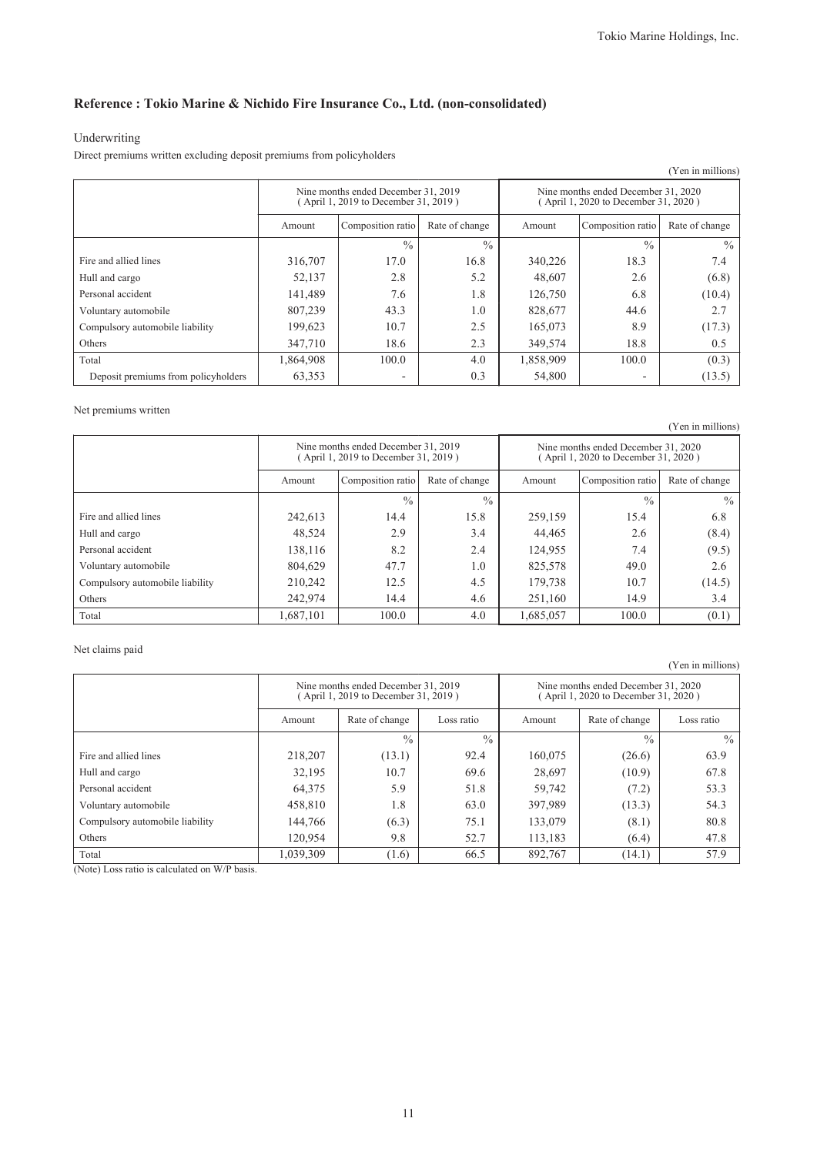### **Reference : Tokio Marine & Nichido Fire Insurance Co., Ltd. (non-consolidated)**

### Underwriting

Direct premiums written excluding deposit premiums from policyholders

|                                     |                                                                             |                   |                |                                                                            |                   | (Yen in millions) |
|-------------------------------------|-----------------------------------------------------------------------------|-------------------|----------------|----------------------------------------------------------------------------|-------------------|-------------------|
|                                     | Nine months ended December 31, 2019<br>(April 1, 2019 to December 31, 2019) |                   |                | Nine months ended December 31, 2020<br>April 1, 2020 to December 31, 2020) |                   |                   |
|                                     | Amount                                                                      | Composition ratio | Rate of change | Amount                                                                     | Composition ratio | Rate of change    |
|                                     |                                                                             | $\frac{0}{0}$     | $\frac{0}{0}$  |                                                                            | $\frac{0}{0}$     | $\frac{0}{0}$     |
| Fire and allied lines               | 316,707                                                                     | 17.0              | 16.8           | 340,226                                                                    | 18.3              | 7.4               |
| Hull and cargo                      | 52,137                                                                      | 2.8               | 5.2            | 48,607                                                                     | 2.6               | (6.8)             |
| Personal accident                   | 141,489                                                                     | 7.6               | 1.8            | 126,750                                                                    | 6.8               | (10.4)            |
| Voluntary automobile                | 807,239                                                                     | 43.3              | 1.0            | 828,677                                                                    | 44.6              | 2.7               |
| Compulsory automobile liability     | 199,623                                                                     | 10.7              | 2.5            | 165,073                                                                    | 8.9               | (17.3)            |
| Others                              | 347,710                                                                     | 18.6              | 2.3            | 349,574                                                                    | 18.8              | 0.5               |
| Total                               | 1,864,908                                                                   | 100.0             | 4.0            | 1,858,909                                                                  | 100.0             | (0.3)             |
| Deposit premiums from policyholders | 63,353                                                                      | ۰                 | 0.3            | 54,800                                                                     | ۰                 | (13.5)            |

### Net premiums written

(Yen in millions)

|                                 | Nine months ended December 31, 2019<br>(April 1, 2019 to December 31, 2019) |                   |                | Nine months ended December 31, 2020<br>(April 1, 2020 to December 31, 2020) |                   |                |
|---------------------------------|-----------------------------------------------------------------------------|-------------------|----------------|-----------------------------------------------------------------------------|-------------------|----------------|
|                                 | Amount                                                                      | Composition ratio | Rate of change | Amount                                                                      | Composition ratio | Rate of change |
|                                 |                                                                             | $\frac{0}{0}$     | $\frac{0}{0}$  |                                                                             | $\frac{0}{0}$     | $\frac{0}{0}$  |
| Fire and allied lines           | 242.613                                                                     | 14.4              | 15.8           | 259,159                                                                     | 15.4              | 6.8            |
| Hull and cargo                  | 48,524                                                                      | 2.9               | 3.4            | 44,465                                                                      | 2.6               | (8.4)          |
| Personal accident               | 138,116                                                                     | 8.2               | 2.4            | 124,955                                                                     | 7.4               | (9.5)          |
| Voluntary automobile            | 804.629                                                                     | 47.7              | 1.0            | 825,578                                                                     | 49.0              | 2.6            |
| Compulsory automobile liability | 210,242                                                                     | 12.5              | 4.5            | 179.738                                                                     | 10.7              | (14.5)         |
| Others                          | 242,974                                                                     | 14.4              | 4.6            | 251,160                                                                     | 14.9              | 3.4            |
| Total                           | 1,687,101                                                                   | 100.0             | 4.0            | 1,685,057                                                                   | 100.0             | (0.1)          |

#### Net claims paid

(Yen in millions)

|                                 | Nine months ended December 31, 2019<br>(April 1, 2019 to December 31, 2019) |                |               | Nine months ended December 31, 2020<br>(April 1, 2020 to December 31, 2020) |                |               |
|---------------------------------|-----------------------------------------------------------------------------|----------------|---------------|-----------------------------------------------------------------------------|----------------|---------------|
|                                 | Amount                                                                      | Rate of change | Loss ratio    | Amount                                                                      | Rate of change | Loss ratio    |
|                                 |                                                                             | $\frac{0}{0}$  | $\frac{0}{0}$ |                                                                             | $\frac{0}{0}$  | $\frac{0}{0}$ |
| Fire and allied lines           | 218,207                                                                     | (13.1)         | 92.4          | 160,075                                                                     | (26.6)         | 63.9          |
| Hull and cargo                  | 32,195                                                                      | 10.7           | 69.6          | 28,697                                                                      | (10.9)         | 67.8          |
| Personal accident               | 64,375                                                                      | 5.9            | 51.8          | 59,742                                                                      | (7.2)          | 53.3          |
| Voluntary automobile            | 458,810                                                                     | 1.8            | 63.0          | 397,989                                                                     | (13.3)         | 54.3          |
| Compulsory automobile liability | 144,766                                                                     | (6.3)          | 75.1          | 133,079                                                                     | (8.1)          | 80.8          |
| Others                          | 120,954                                                                     | 9.8            | 52.7          | 113,183                                                                     | (6.4)          | 47.8          |
| Total                           | 1,039,309                                                                   | (1.6)          | 66.5          | 892,767                                                                     | (14.1)         | 57.9          |

(Note) Loss ratio is calculated on W/P basis.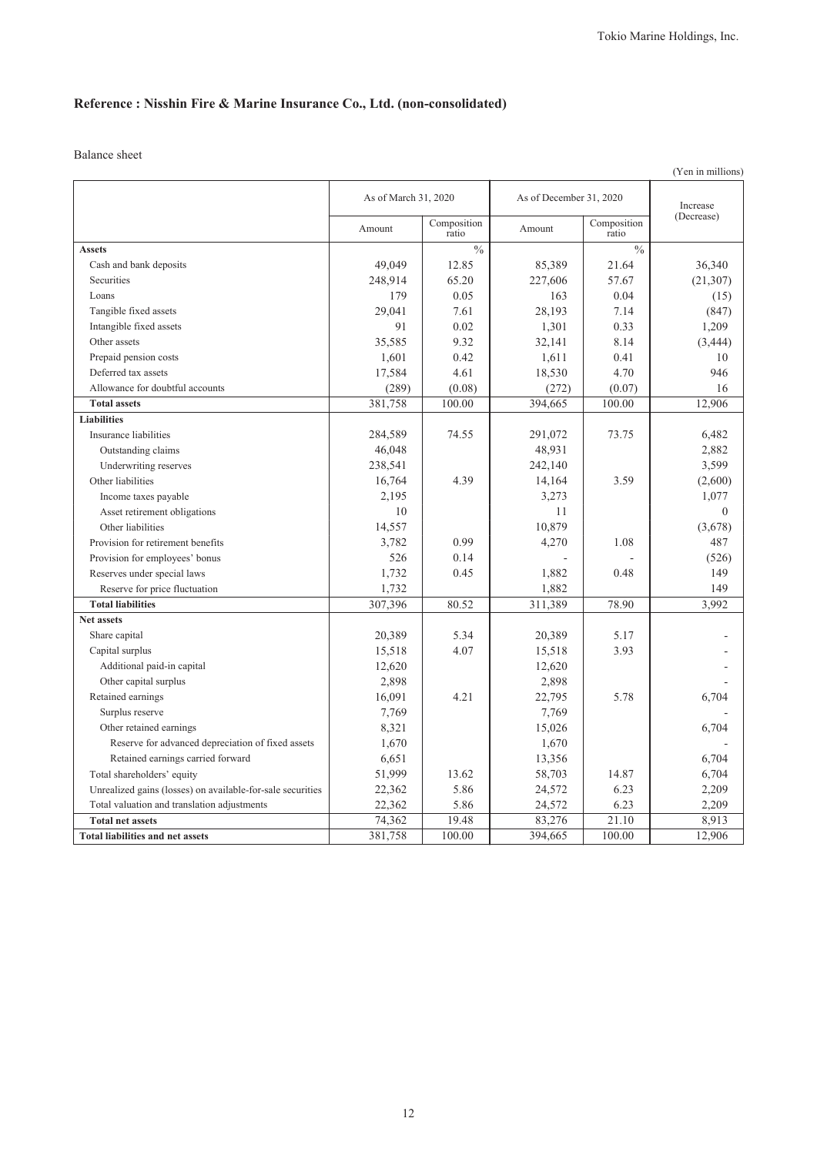# **Reference : Nisshin Fire & Marine Insurance Co., Ltd. (non-consolidated)**

|                                                            |                      |                      |                         |                      | (Yen in millions) |
|------------------------------------------------------------|----------------------|----------------------|-------------------------|----------------------|-------------------|
|                                                            | As of March 31, 2020 |                      | As of December 31, 2020 |                      | Increase          |
|                                                            | Amount               | Composition<br>ratio | Amount                  | Composition<br>ratio | (Decrease)        |
| <b>Assets</b>                                              |                      | $\frac{0}{0}$        |                         | $\frac{0}{0}$        |                   |
| Cash and bank deposits                                     | 49,049               | 12.85                | 85,389                  | 21.64                | 36,340            |
| Securities                                                 | 248,914              | 65.20                | 227,606                 | 57.67                | (21, 307)         |
| Loans                                                      | 179                  | 0.05                 | 163                     | 0.04                 | (15)              |
| Tangible fixed assets                                      | 29,041               | 7.61                 | 28,193                  | 7.14                 | (847)             |
| Intangible fixed assets                                    | 91                   | 0.02                 | 1,301                   | 0.33                 | 1,209             |
| Other assets                                               | 35,585               | 9.32                 | 32,141                  | 8.14                 | (3, 444)          |
| Prepaid pension costs                                      | 1,601                | 0.42                 | 1,611                   | 0.41                 | 10                |
| Deferred tax assets                                        | 17,584               | 4.61                 | 18,530                  | 4.70                 | 946               |
| Allowance for doubtful accounts                            | (289)                | (0.08)               | (272)                   | (0.07)               | 16                |
| <b>Total assets</b>                                        | 381,758              | 100.00               | 394,665                 | 100.00               | 12,906            |
| <b>Liabilities</b>                                         |                      |                      |                         |                      |                   |
| Insurance liabilities                                      | 284,589              | 74.55                | 291,072                 | 73.75                | 6,482             |
| Outstanding claims                                         | 46,048               |                      | 48,931                  |                      | 2,882             |
| Underwriting reserves                                      | 238,541              |                      | 242,140                 |                      | 3,599             |
| Other liabilities                                          | 16,764               | 4.39                 | 14,164                  | 3.59                 | (2,600)           |
| Income taxes payable                                       | 2,195                |                      | 3,273                   |                      | 1,077             |
| Asset retirement obligations                               | 10                   |                      | 11                      |                      | $\mathbf{0}$      |
| Other liabilities                                          | 14,557               |                      | 10,879                  |                      | (3,678)           |
| Provision for retirement benefits                          | 3,782                | 0.99                 | 4,270                   | 1.08                 | 487               |
| Provision for employees' bonus                             | 526                  | 0.14                 |                         |                      | (526)             |
| Reserves under special laws                                | 1,732                | 0.45                 | 1,882                   | 0.48                 | 149               |
| Reserve for price fluctuation                              | 1,732                |                      | 1,882                   |                      | 149               |
| <b>Total liabilities</b>                                   | 307,396              | 80.52                | 311,389                 | 78.90                | 3.992             |
| <b>Net assets</b>                                          |                      |                      |                         |                      |                   |
| Share capital                                              | 20,389               | 5.34                 | 20,389                  | 5.17                 |                   |
| Capital surplus                                            | 15,518               | 4.07                 | 15,518                  | 3.93                 |                   |
| Additional paid-in capital                                 | 12,620               |                      | 12,620                  |                      |                   |
| Other capital surplus                                      | 2,898                |                      | 2,898                   |                      |                   |
| Retained earnings                                          | 16,091               | 4.21                 | 22,795                  | 5.78                 | 6,704             |
| Surplus reserve                                            | 7,769                |                      | 7,769                   |                      |                   |
| Other retained earnings                                    | 8,321                |                      | 15,026                  |                      | 6,704             |
| Reserve for advanced depreciation of fixed assets          | 1,670                |                      | 1,670                   |                      |                   |
| Retained earnings carried forward                          | 6,651                |                      | 13,356                  |                      | 6,704             |
| Total shareholders' equity                                 | 51,999               | 13.62                | 58,703                  | 14.87                | 6,704             |
| Unrealized gains (losses) on available-for-sale securities | 22,362               | 5.86                 | 24,572                  | 6.23                 | 2,209             |
| Total valuation and translation adjustments                | 22,362               | 5.86                 | 24,572                  | 6.23                 | 2,209             |
| <b>Total net assets</b>                                    | 74,362               | 19.48                | 83,276                  | 21.10                | 8,913             |
| <b>Total liabilities and net assets</b>                    | 381,758              | 100.00               | 394,665                 | 100.00               | 12,906            |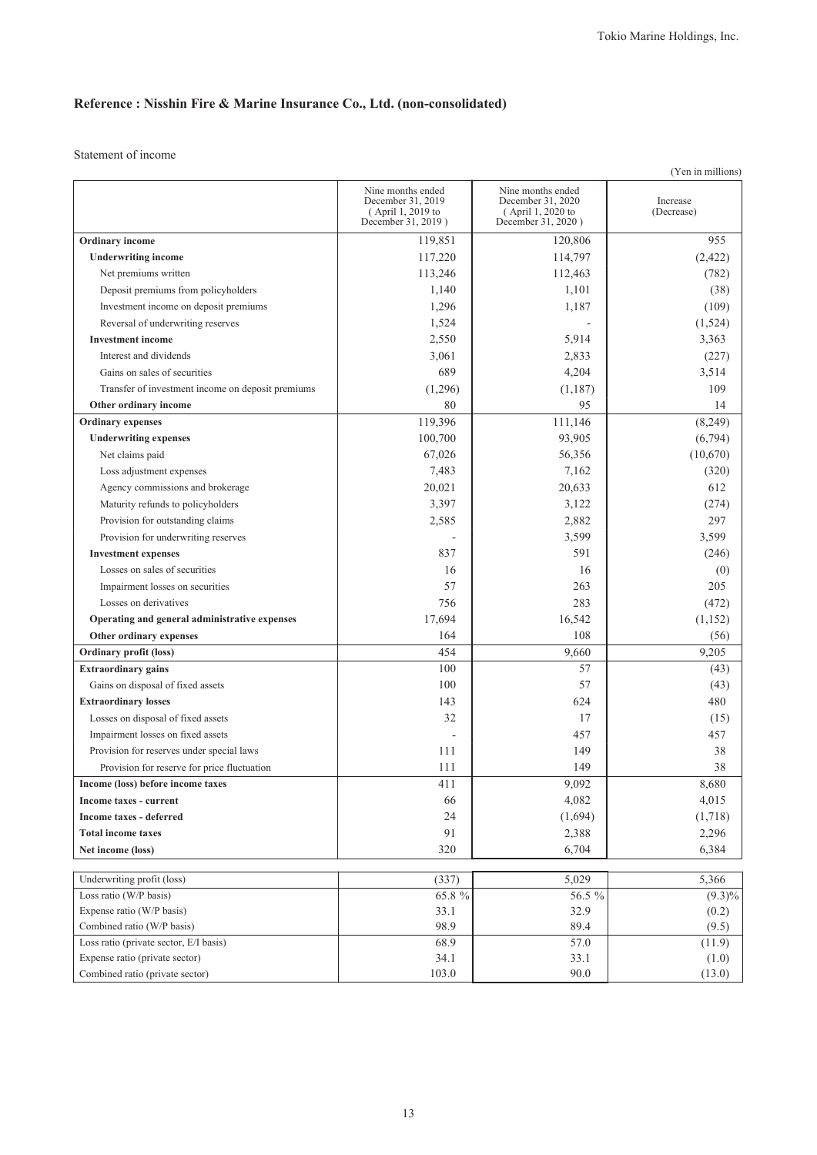# **Reference : Nisshin Fire & Marine Insurance Co., Ltd. (non-consolidated)**

|                                                                   |                                                                                   |                                                                                   | (Yen in millions)      |
|-------------------------------------------------------------------|-----------------------------------------------------------------------------------|-----------------------------------------------------------------------------------|------------------------|
|                                                                   | Nine months ended<br>December 31, 2019<br>(April 1, 2019 to<br>December 31, 2019) | Nine months ended<br>December 31, 2020<br>(April 1, 2020 to<br>December 31, 2020) | Increase<br>(Decrease) |
| Ordinary income                                                   | 119,851                                                                           | 120,806                                                                           | 955                    |
| <b>Underwriting income</b>                                        | 117,220                                                                           | 114,797                                                                           | (2, 422)               |
| Net premiums written                                              | 113,246                                                                           | 112,463                                                                           | (782)                  |
| Deposit premiums from policyholders                               | 1,140                                                                             | 1,101                                                                             | (38)                   |
| Investment income on deposit premiums                             | 1,296                                                                             | 1,187                                                                             | (109)                  |
| Reversal of underwriting reserves                                 | 1,524                                                                             |                                                                                   | (1,524)                |
| <b>Investment income</b>                                          | 2,550                                                                             | 5,914                                                                             | 3,363                  |
| Interest and dividends                                            | 3,061                                                                             | 2,833                                                                             | (227)                  |
| Gains on sales of securities                                      | 689                                                                               | 4,204                                                                             | 3,514                  |
| Transfer of investment income on deposit premiums                 | (1,296)                                                                           | (1,187)                                                                           | 109                    |
| Other ordinary income                                             | 80                                                                                | 95                                                                                | 14                     |
| <b>Ordinary</b> expenses                                          | 119,396                                                                           | 111,146                                                                           | (8,249)                |
| <b>Underwriting expenses</b>                                      | 100,700                                                                           | 93,905                                                                            | (6,794)                |
| Net claims paid                                                   | 67,026                                                                            | 56,356                                                                            | (10,670)               |
| Loss adjustment expenses                                          | 7,483                                                                             | 7,162                                                                             | (320)                  |
| Agency commissions and brokerage                                  | 20,021                                                                            | 20,633                                                                            | 612                    |
| Maturity refunds to policyholders                                 | 3,397                                                                             | 3,122                                                                             | (274)                  |
| Provision for outstanding claims                                  | 2,585                                                                             | 2,882                                                                             | 297                    |
| Provision for underwriting reserves                               |                                                                                   | 3,599                                                                             | 3,599                  |
| <b>Investment expenses</b>                                        | 837                                                                               | 591                                                                               | (246)                  |
| Losses on sales of securities                                     | 16                                                                                | 16                                                                                | (0)                    |
| Impairment losses on securities                                   | 57                                                                                | 263                                                                               | 205                    |
| Losses on derivatives                                             | 756                                                                               | 283                                                                               | (472)                  |
| Operating and general administrative expenses                     | 17,694                                                                            | 16,542                                                                            | (1,152)                |
| Other ordinary expenses                                           | 164                                                                               | 108                                                                               | (56)                   |
| <b>Ordinary profit (loss)</b>                                     | 454                                                                               | 9,660                                                                             | 9,205                  |
| <b>Extraordinary gains</b>                                        | 100                                                                               | 57                                                                                | (43)                   |
| Gains on disposal of fixed assets                                 | 100                                                                               | 57                                                                                | (43)                   |
| <b>Extraordinary losses</b>                                       | 143                                                                               | 624                                                                               | 480                    |
| Losses on disposal of fixed assets                                | 32                                                                                | 17                                                                                | (15)                   |
| Impairment losses on fixed assets                                 |                                                                                   | 457                                                                               | 457                    |
| Provision for reserves under special laws                         | 111                                                                               | 149                                                                               | 38                     |
| Provision for reserve for price fluctuation                       | 111                                                                               | 149                                                                               | 38                     |
| Income (loss) before income taxes                                 | 411                                                                               | 9,092                                                                             | 8,680                  |
| Income taxes - current                                            | 66                                                                                | 4,082                                                                             | 4,015                  |
| <b>Income taxes - deferred</b>                                    | 24                                                                                | (1,694)                                                                           | (1,718)                |
| <b>Total income taxes</b>                                         | 91                                                                                | 2,388                                                                             | 2,296                  |
| Net income (loss)                                                 | 320                                                                               | 6,704                                                                             | 6,384                  |
|                                                                   |                                                                                   |                                                                                   |                        |
| Underwriting profit (loss)                                        | (337)                                                                             | 5,029                                                                             | 5,366                  |
| Loss ratio (W/P basis)                                            | 65.8 %                                                                            | 56.5 %                                                                            | $(9.3)\%$              |
| Expense ratio (W/P basis)                                         | 33.1                                                                              | 32.9                                                                              | (0.2)                  |
| Combined ratio (W/P basis)                                        | 98.9                                                                              | 89.4                                                                              | (9.5)                  |
| Loss ratio (private sector, E/I basis)                            | 68.9                                                                              | 57.0                                                                              | (11.9)                 |
| Expense ratio (private sector)<br>Combined ratio (private sector) | 34.1<br>103.0                                                                     | 33.1<br>90.0                                                                      | (1.0)                  |
|                                                                   |                                                                                   |                                                                                   | (13.0)                 |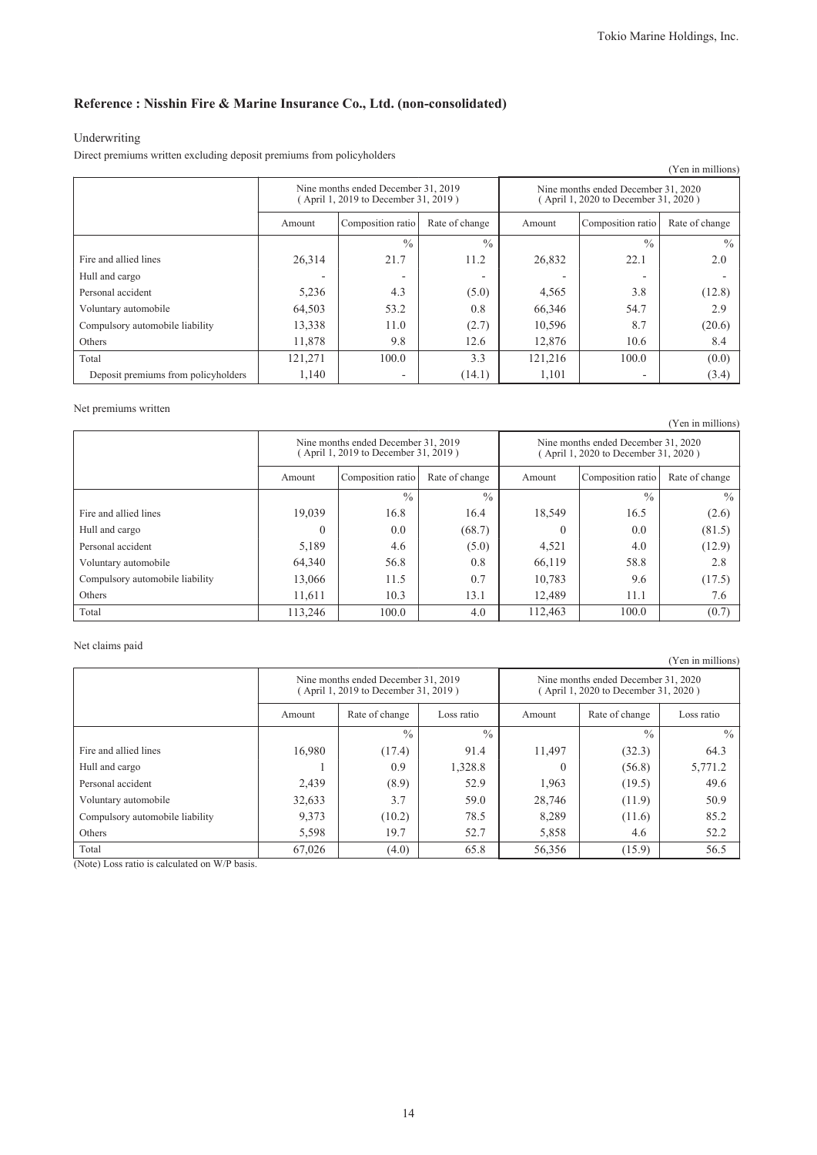### **Reference : Nisshin Fire & Marine Insurance Co., Ltd. (non-consolidated)**

### Underwriting

Direct premiums written excluding deposit premiums from policyholders

|                                     |                                                                             |                          |                |                                                                             |                          | (Yen in millions) |
|-------------------------------------|-----------------------------------------------------------------------------|--------------------------|----------------|-----------------------------------------------------------------------------|--------------------------|-------------------|
|                                     | Nine months ended December 31, 2019<br>(April 1, 2019 to December 31, 2019) |                          |                | Nine months ended December 31, 2020<br>(April 1, 2020 to December 31, 2020) |                          |                   |
|                                     | Amount                                                                      | Composition ratio        | Rate of change | Amount                                                                      | Composition ratio        | Rate of change    |
|                                     |                                                                             | $\frac{0}{0}$            | $\frac{0}{0}$  |                                                                             | $\frac{0}{0}$            | $\frac{0}{0}$     |
| Fire and allied lines               | 26,314                                                                      | 21.7                     | 11.2           | 26,832                                                                      | 22.1                     | 2.0               |
| Hull and cargo                      |                                                                             |                          | -              |                                                                             | $\overline{\phantom{0}}$ |                   |
| Personal accident                   | 5,236                                                                       | 4.3                      | (5.0)          | 4,565                                                                       | 3.8                      | (12.8)            |
| Voluntary automobile                | 64,503                                                                      | 53.2                     | 0.8            | 66,346                                                                      | 54.7                     | 2.9               |
| Compulsory automobile liability     | 13,338                                                                      | 11.0                     | (2.7)          | 10,596                                                                      | 8.7                      | (20.6)            |
| Others                              | 11,878                                                                      | 9.8                      | 12.6           | 12,876                                                                      | 10.6                     | 8.4               |
| Total                               | 121,271                                                                     | 100.0                    | 3.3            | 121,216                                                                     | 100.0                    | (0.0)             |
| Deposit premiums from policyholders | 1,140                                                                       | $\overline{\phantom{0}}$ | (14.1)         | 1,101                                                                       | ۰                        | (3.4)             |

#### Net premiums written

(Yen in millions) Nine months ended December 31, 2019 ( April 1, 2019 to December 31, 2019 ) Nine months ended December 31, 2020 ( April 1, 2020 to December 31, 2020 ) Amount Composition ratio Rate of change Amount Composition ratio Rate of change  $\frac{9}{6}$  %  $\frac{9}{6}$  %  $\frac{9}{6}$ Fire and allied lines 19,039 16.8 16.4 18,549 16.5 (2.6) Hull and cargo 0 0.0 (68.7) 0 0.0 (81.5) Personal accident 10 12.9) 5,189 4.6 (5.0) 4,521 4.0 4.0 (12.9) Voluntary automobile 64,340 56.8 0.8 66,119 58.8 2.8 Compulsory automobile liability 13,066 11.5 0.7 10,783 9.6 (17.5) Others 11,611 10.3 13.1 12,489 11.1 7.6 Total 113,246 100.0 4.0 112,463 100.0 (0.7)

#### Net claims paid

Nine months ended December 31, 2019 ( April 1, 2019 to December 31, 2019 ) Nine months ended December 31, 2020 ( April 1, 2020 to December 31, 2020 ) Amount Rate of change Loss ratio Amount Rate of change Loss ratio  $\frac{9}{6}$  %  $\frac{9}{6}$  %  $\frac{9}{6}$  % Fire and allied lines 16,980 (17.4) 91.4 11,497 (32.3) 64.3 Hull and cargo 1 1 0.9 1,328.8 0 (56.8) 5,771.2 Personal accident 2,439 (8.9) 52.9 1,963 (19.5) 49.6 Voluntary automobile 199.633 32,633 3.7 59.0 28,746 (11.9) 50.9 Compulsory automobile liability  $9,373$  (10.2)  $78.5$  8,289 (11.6) 85.2 Others 19.7 | 5,598 | 19.7 | 52.7 | 5,858 | 4.6 | 52.2 Total 67,026 (4.0) 65.8 56,356 (15.9) 56.5

(Note) Loss ratio is calculated on W/P basis.

14

(Yen in millions)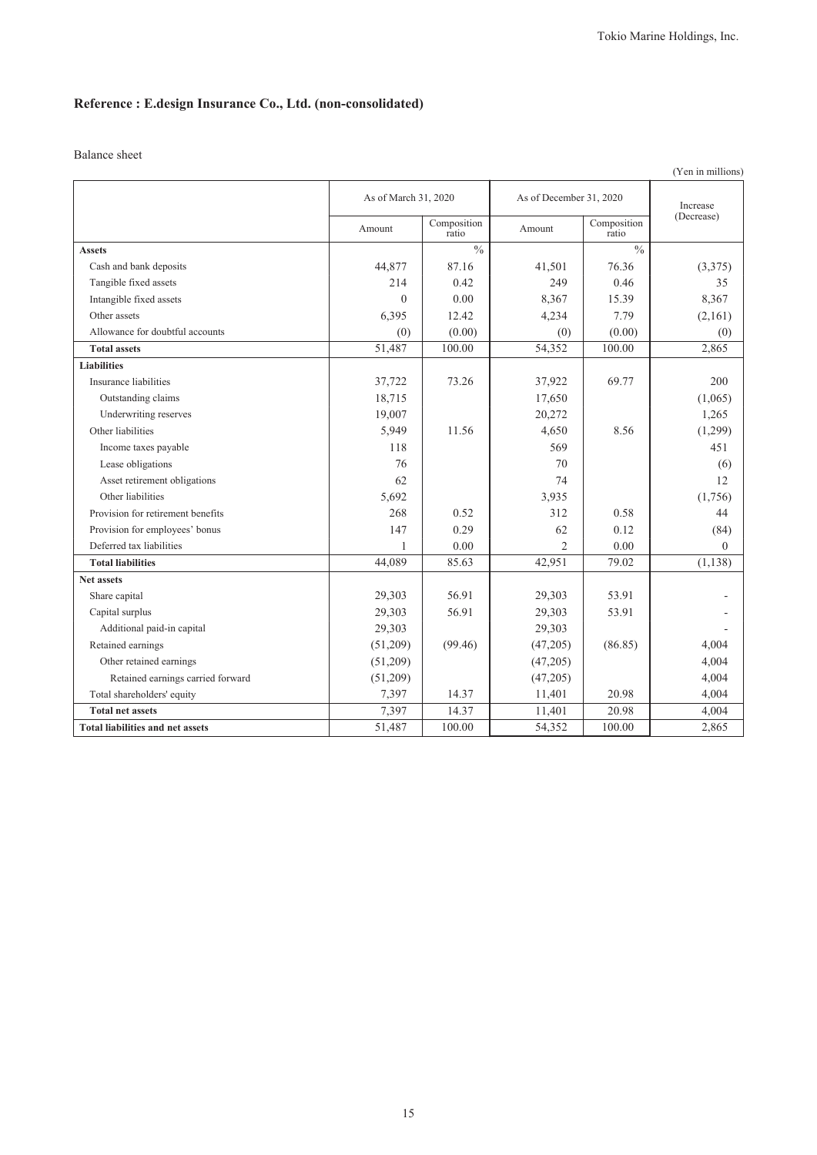# **Reference : E.design Insurance Co., Ltd. (non-consolidated)**

|                                         |                      |                      |                         |                      | (Yen in millions) |
|-----------------------------------------|----------------------|----------------------|-------------------------|----------------------|-------------------|
|                                         | As of March 31, 2020 |                      | As of December 31, 2020 |                      | Increase          |
|                                         | Amount               | Composition<br>ratio | Amount                  | Composition<br>ratio | (Decrease)        |
| <b>Assets</b>                           |                      | $\frac{0}{0}$        |                         | $\frac{0}{0}$        |                   |
| Cash and bank deposits                  | 44,877               | 87.16                | 41,501                  | 76.36                | (3,375)           |
| Tangible fixed assets                   | 214                  | 0.42                 | 249                     | 0.46                 | 35                |
| Intangible fixed assets                 | $\theta$             | 0.00                 | 8,367                   | 15.39                | 8,367             |
| Other assets                            | 6,395                | 12.42                | 4,234                   | 7.79                 | (2,161)           |
| Allowance for doubtful accounts         | (0)                  | (0.00)               | (0)                     | (0.00)               | (0)               |
| <b>Total assets</b>                     | 51,487               | 100.00               | 54,352                  | 100.00               | 2,865             |
| <b>Liabilities</b>                      |                      |                      |                         |                      |                   |
| Insurance liabilities                   | 37,722               | 73.26                | 37,922                  | 69.77                | 200               |
| Outstanding claims                      | 18,715               |                      | 17,650                  |                      | (1,065)           |
| Underwriting reserves                   | 19,007               |                      | 20,272                  |                      | 1,265             |
| Other liabilities                       | 5,949                | 11.56                | 4,650                   | 8.56                 | (1,299)           |
| Income taxes payable                    | 118                  |                      | 569                     |                      | 451               |
| Lease obligations                       | 76                   |                      | 70                      |                      | (6)               |
| Asset retirement obligations            | 62                   |                      | 74                      |                      | 12                |
| Other liabilities                       | 5,692                |                      | 3,935                   |                      | (1,756)           |
| Provision for retirement benefits       | 268                  | 0.52                 | 312                     | 0.58                 | 44                |
| Provision for employees' bonus          | 147                  | 0.29                 | 62                      | 0.12                 | (84)              |
| Deferred tax liabilities                | -1                   | 0.00                 | $\overline{2}$          | 0.00                 | $\theta$          |
| <b>Total liabilities</b>                | 44,089               | 85.63                | 42,951                  | 79.02                | (1, 138)          |
| <b>Net assets</b>                       |                      |                      |                         |                      |                   |
| Share capital                           | 29,303               | 56.91                | 29,303                  | 53.91                |                   |
| Capital surplus                         | 29,303               | 56.91                | 29,303                  | 53.91                |                   |
| Additional paid-in capital              | 29,303               |                      | 29,303                  |                      |                   |
| Retained earnings                       | (51,209)             | (99.46)              | (47,205)                | (86.85)              | 4,004             |
| Other retained earnings                 | (51,209)             |                      | (47,205)                |                      | 4,004             |
| Retained earnings carried forward       | (51,209)             |                      | (47,205)                |                      | 4,004             |
| Total shareholders' equity              | 7,397                | 14.37                | 11,401                  | 20.98                | 4,004             |
| <b>Total net assets</b>                 | 7,397                | 14.37                | 11,401                  | 20.98                | 4,004             |
| <b>Total liabilities and net assets</b> | 51,487               | 100.00               | 54,352                  | 100.00               | 2,865             |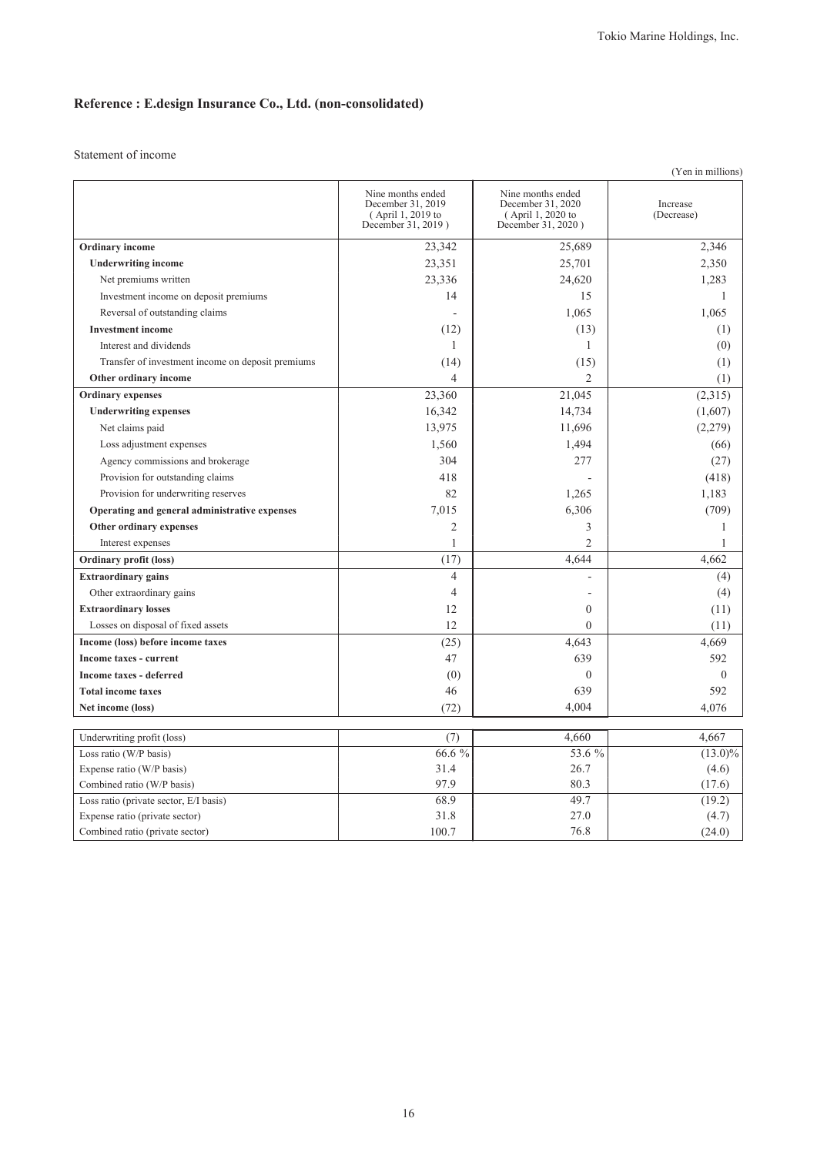# **Reference : E.design Insurance Co., Ltd. (non-consolidated)**

|                                                                      |                                                                                   |                                                                                   | (Yen in millions)      |
|----------------------------------------------------------------------|-----------------------------------------------------------------------------------|-----------------------------------------------------------------------------------|------------------------|
|                                                                      | Nine months ended<br>December 31, 2019<br>(April 1, 2019 to<br>December 31, 2019) | Nine months ended<br>December 31, 2020<br>(April 1, 2020 to<br>December 31, 2020) | Increase<br>(Decrease) |
| <b>Ordinary</b> income                                               | 23,342                                                                            | 25,689                                                                            | 2,346                  |
| <b>Underwriting income</b>                                           | 23,351                                                                            | 25,701                                                                            | 2,350                  |
| Net premiums written                                                 | 23,336                                                                            | 24,620                                                                            | 1,283                  |
| Investment income on deposit premiums                                | 14                                                                                | 15                                                                                | 1                      |
| Reversal of outstanding claims                                       |                                                                                   | 1,065                                                                             | 1,065                  |
| <b>Investment</b> income                                             | (12)                                                                              | (13)                                                                              | (1)                    |
| Interest and dividends                                               | $\mathbf{1}$                                                                      | 1                                                                                 | (0)                    |
| Transfer of investment income on deposit premiums                    | (14)                                                                              | (15)                                                                              | (1)                    |
| Other ordinary income                                                | $\overline{4}$                                                                    | $\overline{2}$                                                                    | (1)                    |
| <b>Ordinary expenses</b>                                             | 23,360                                                                            | 21,045                                                                            | (2,315)                |
| <b>Underwriting expenses</b>                                         | 16,342                                                                            | 14,734                                                                            | (1,607)                |
| Net claims paid                                                      | 13,975                                                                            | 11,696                                                                            | (2,279)                |
| Loss adjustment expenses                                             | 1,560                                                                             | 1,494                                                                             | (66)                   |
| Agency commissions and brokerage                                     | 304                                                                               | 277                                                                               | (27)                   |
| Provision for outstanding claims                                     | 418                                                                               |                                                                                   | (418)                  |
| Provision for underwriting reserves                                  | 82                                                                                | 1,265                                                                             | 1,183                  |
| Operating and general administrative expenses                        | 7,015                                                                             | 6,306                                                                             | (709)                  |
| Other ordinary expenses                                              | $\mathfrak{2}$                                                                    | 3                                                                                 | 1                      |
| Interest expenses                                                    | 1                                                                                 | $\overline{2}$                                                                    | 1                      |
| <b>Ordinary profit (loss)</b>                                        | (17)                                                                              | 4,644                                                                             | 4,662                  |
| <b>Extraordinary gains</b>                                           | $\overline{4}$                                                                    |                                                                                   | (4)                    |
| Other extraordinary gains                                            | $\overline{4}$                                                                    |                                                                                   | (4)                    |
| <b>Extraordinary losses</b>                                          | 12                                                                                | $\theta$                                                                          | (11)                   |
| Losses on disposal of fixed assets                                   | 12                                                                                | $\mathbf{0}$                                                                      | (11)                   |
| Income (loss) before income taxes                                    | (25)                                                                              | 4,643                                                                             | 4,669                  |
| <b>Income taxes - current</b>                                        | 47                                                                                | 639                                                                               | 592                    |
| Income taxes - deferred                                              | (0)                                                                               | $\overline{0}$                                                                    | $\theta$               |
| <b>Total income taxes</b>                                            | 46                                                                                | 639                                                                               | 592                    |
| Net income (loss)                                                    | (72)                                                                              | 4,004                                                                             | 4,076                  |
|                                                                      |                                                                                   |                                                                                   |                        |
| Underwriting profit (loss)                                           | (7)                                                                               | 4,660                                                                             | 4,667                  |
| Loss ratio (W/P basis)                                               | 66.6 %                                                                            | 53.6 %                                                                            | $(13.0)\%$             |
| Expense ratio (W/P basis)                                            | 31.4<br>97.9                                                                      | 26.7<br>80.3                                                                      | (4.6)<br>(17.6)        |
| Combined ratio (W/P basis)<br>Loss ratio (private sector, E/I basis) | 68.9                                                                              | 49.7                                                                              | (19.2)                 |
| Expense ratio (private sector)                                       | 31.8                                                                              | 27.0                                                                              | (4.7)                  |
| Combined ratio (private sector)                                      | 100.7                                                                             | 76.8                                                                              | (24.0)                 |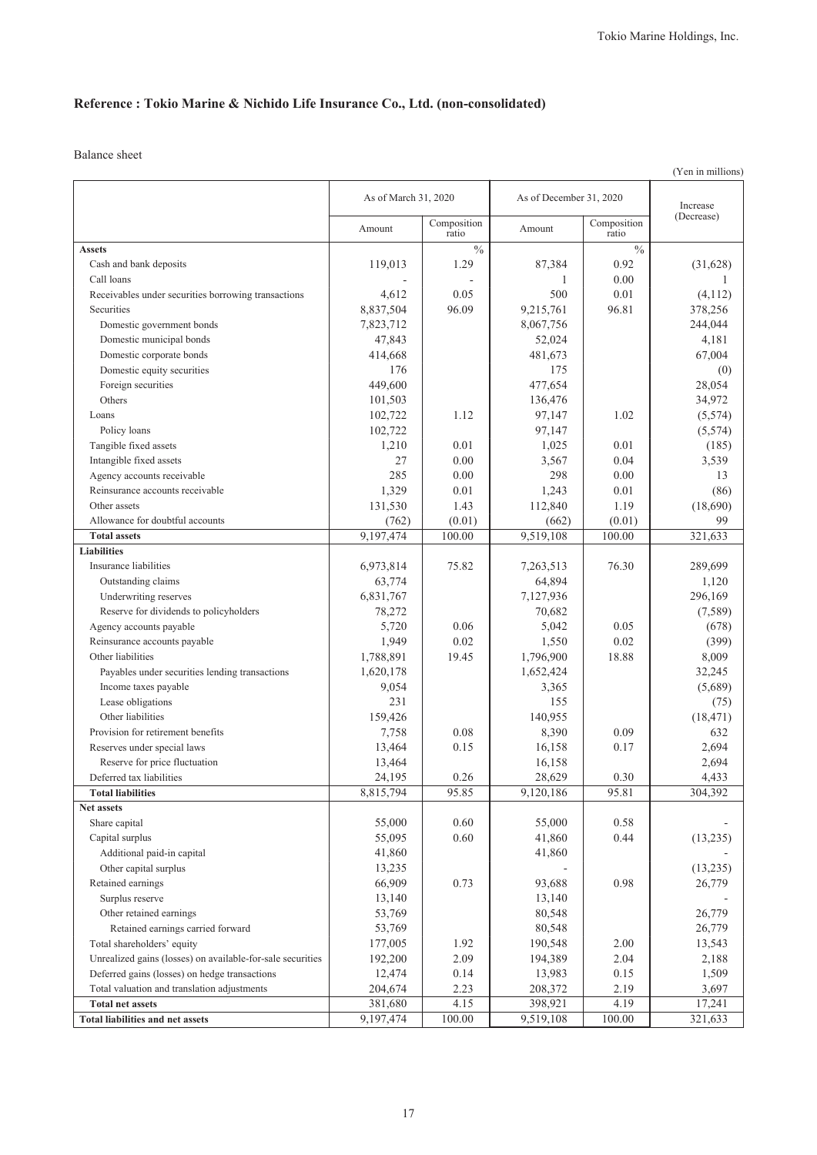# **Reference : Tokio Marine & Nichido Life Insurance Co., Ltd. (non-consolidated)**

|                                                                    |                      |                      |                         |                      | (Yen in millions) |
|--------------------------------------------------------------------|----------------------|----------------------|-------------------------|----------------------|-------------------|
|                                                                    | As of March 31, 2020 |                      | As of December 31, 2020 |                      | Increase          |
|                                                                    | Amount               | Composition<br>ratio | Amount                  | Composition<br>ratio | (Decrease)        |
| <b>Assets</b>                                                      |                      | $\frac{0}{0}$        |                         | $\frac{0}{0}$        |                   |
| Cash and bank deposits                                             | 119,013              | 1.29                 | 87,384                  | 0.92                 | (31,628)          |
| Call loans                                                         |                      |                      | 1                       | 0.00                 |                   |
| Receivables under securities borrowing transactions                | 4,612                | 0.05                 | 500                     | 0.01                 | (4,112)           |
| Securities                                                         | 8,837,504            | 96.09                | 9,215,761               | 96.81                | 378,256           |
| Domestic government bonds                                          | 7,823,712            |                      | 8,067,756               |                      | 244,044           |
| Domestic municipal bonds                                           | 47,843               |                      | 52,024                  |                      | 4,181             |
| Domestic corporate bonds                                           | 414,668              |                      | 481,673                 |                      | 67,004            |
| Domestic equity securities                                         | 176                  |                      | 175                     |                      | (0)               |
| Foreign securities                                                 | 449,600              |                      | 477,654                 |                      | 28,054            |
| Others                                                             | 101,503              |                      | 136,476                 |                      | 34,972            |
| Loans                                                              | 102,722              | 1.12                 | 97,147                  | 1.02                 | (5,574)           |
| Policy loans                                                       | 102,722              |                      | 97,147                  |                      | (5, 574)          |
| Tangible fixed assets                                              | 1,210                | 0.01                 | 1,025                   | 0.01                 | (185)             |
| Intangible fixed assets                                            | 27                   | 0.00                 | 3,567                   | 0.04                 | 3,539             |
| Agency accounts receivable                                         | 285                  | 0.00                 | 298                     | 0.00                 | 13                |
| Reinsurance accounts receivable                                    | 1,329                | 0.01                 | 1,243                   | 0.01                 | (86)              |
| Other assets                                                       | 131,530              | 1.43                 | 112,840                 | 1.19                 | (18,690)          |
| Allowance for doubtful accounts                                    | (762)                | (0.01)               | (662)                   | (0.01)               | 99                |
| <b>Total assets</b>                                                | 9,197,474            | 100.00               | 9,519,108               | 100.00               | 321,633           |
| <b>Liabilities</b>                                                 |                      |                      |                         |                      |                   |
| Insurance liabilities                                              | 6,973,814            | 75.82                | 7,263,513               | 76.30                | 289,699           |
| Outstanding claims                                                 | 63,774               |                      | 64,894                  |                      | 1,120             |
| Underwriting reserves                                              | 6,831,767            |                      | 7,127,936               |                      | 296,169           |
| Reserve for dividends to policyholders                             | 78,272               |                      | 70,682                  |                      | (7,589)           |
| Agency accounts payable                                            | 5,720                | 0.06                 | 5,042                   | 0.05                 | (678)             |
| Reinsurance accounts payable                                       | 1,949                | 0.02                 | 1,550                   | 0.02                 | (399)             |
| Other liabilities                                                  | 1,788,891            | 19.45                | 1,796,900               | 18.88                | 8,009             |
| Payables under securities lending transactions                     | 1,620,178            |                      | 1,652,424               |                      | 32,245            |
| Income taxes payable                                               | 9,054                |                      | 3,365                   |                      | (5,689)           |
| Lease obligations                                                  | 231                  |                      | 155                     |                      | (75)              |
| Other liabilities                                                  | 159,426              |                      | 140,955                 |                      | (18, 471)         |
| Provision for retirement benefits                                  | 7,758                | 0.08                 | 8,390                   | 0.09                 | 632               |
| Reserves under special laws                                        | 13,464               | 0.15                 | 16,158                  | 0.17                 | 2,694             |
| Reserve for price fluctuation                                      | 13,464               |                      | 16,158                  |                      | 2,694             |
| Deferred tax liabilities                                           | 24,195               | 0.26                 | 28,629                  | 0.30                 | 4,433             |
| <b>Total liabilities</b>                                           | 8,815,794            | 95.85                | 9,120,186               | 95.81                | 304,392           |
| Net assets                                                         |                      |                      |                         |                      |                   |
| Share capital                                                      | 55,000               | 0.60                 | 55,000                  | 0.58                 |                   |
| Capital surplus                                                    | 55,095               | 0.60                 | 41,860                  | 0.44                 | (13, 235)         |
| Additional paid-in capital                                         | 41,860               |                      | 41,860                  |                      |                   |
| Other capital surplus                                              |                      |                      |                         |                      |                   |
| Retained earnings                                                  | 13,235<br>66,909     | 0.73                 |                         | 0.98                 | (13,235)          |
|                                                                    |                      |                      | 93,688                  |                      | 26,779            |
| Surplus reserve                                                    | 13,140               |                      | 13,140                  |                      |                   |
| Other retained earnings                                            | 53,769               |                      | 80,548                  |                      | 26,779            |
| Retained earnings carried forward                                  | 53,769               |                      | 80,548                  |                      | 26,779            |
| Total shareholders' equity                                         | 177,005              | 1.92                 | 190,548                 | 2.00                 | 13,543            |
| Unrealized gains (losses) on available-for-sale securities         | 192,200              | 2.09                 | 194,389                 | 2.04                 | 2,188             |
| Deferred gains (losses) on hedge transactions                      | 12,474               | 0.14                 | 13,983                  | 0.15                 | 1,509             |
| Total valuation and translation adjustments                        | 204,674              | 2.23                 | 208,372                 | 2.19                 | 3,697             |
| <b>Total net assets</b><br><b>Total liabilities and net assets</b> | 381,680<br>9,197,474 | 4.15<br>100.00       | 398,921<br>9,519,108    | 4.19<br>100.00       | 17,241<br>321,633 |
|                                                                    |                      |                      |                         |                      |                   |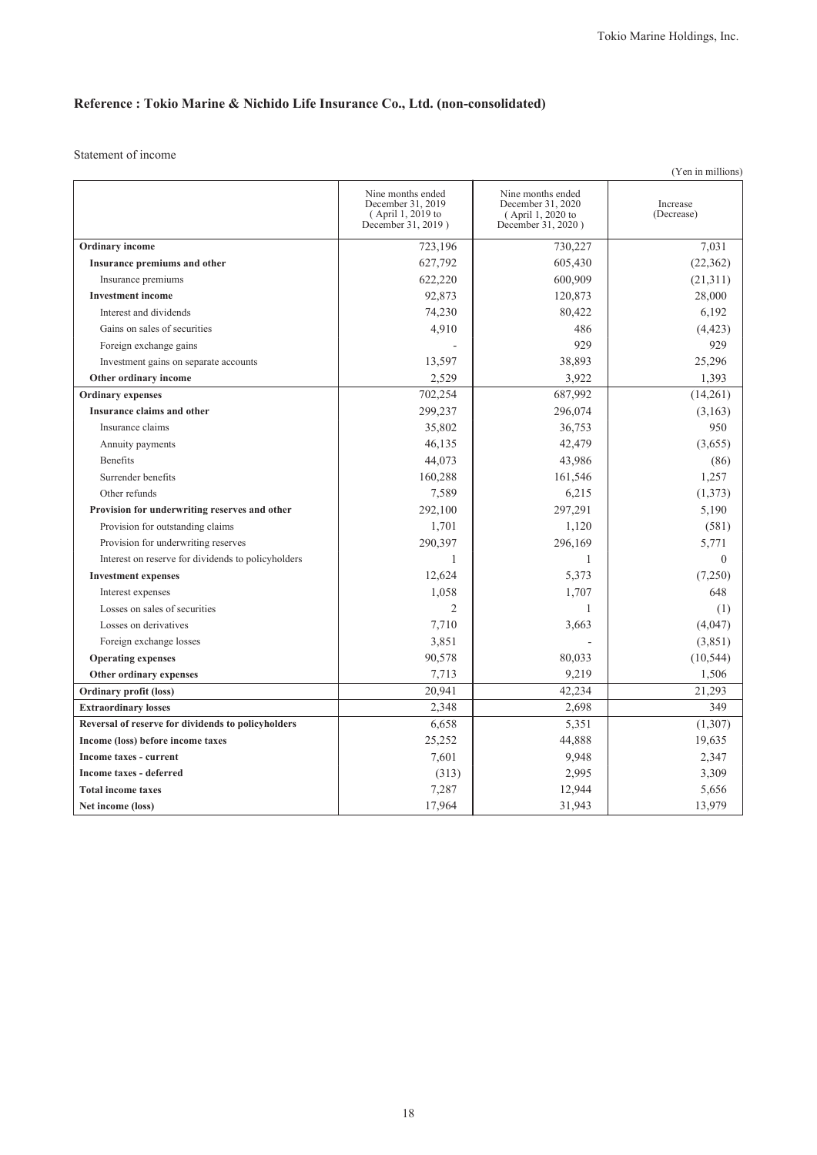# **Reference : Tokio Marine & Nichido Life Insurance Co., Ltd. (non-consolidated)**

| (Yen in millions)                                  |                                                                                   |                                                                                   |                        |  |  |
|----------------------------------------------------|-----------------------------------------------------------------------------------|-----------------------------------------------------------------------------------|------------------------|--|--|
|                                                    | Nine months ended<br>December 31, 2019<br>(April 1, 2019 to<br>December 31, 2019) | Nine months ended<br>December 31, 2020<br>(April 1, 2020 to<br>December 31, 2020) | Increase<br>(Decrease) |  |  |
| <b>Ordinary</b> income                             | 723,196                                                                           | 730,227                                                                           | 7,031                  |  |  |
| Insurance premiums and other                       | 627,792                                                                           | 605,430                                                                           | (22, 362)              |  |  |
| Insurance premiums                                 | 622,220                                                                           | 600,909                                                                           | (21,311)               |  |  |
| <b>Investment</b> income                           | 92,873                                                                            | 120,873                                                                           | 28,000                 |  |  |
| Interest and dividends                             | 74,230                                                                            | 80,422                                                                            | 6,192                  |  |  |
| Gains on sales of securities                       | 4,910                                                                             | 486                                                                               | (4, 423)               |  |  |
| Foreign exchange gains                             |                                                                                   | 929                                                                               | 929                    |  |  |
| Investment gains on separate accounts              | 13,597                                                                            | 38,893                                                                            | 25,296                 |  |  |
| Other ordinary income                              | 2,529                                                                             | 3,922                                                                             | 1,393                  |  |  |
| <b>Ordinary expenses</b>                           | 702,254                                                                           | 687,992                                                                           | (14,261)               |  |  |
| Insurance claims and other                         | 299,237                                                                           | 296,074                                                                           | (3,163)                |  |  |
| Insurance claims                                   | 35,802                                                                            | 36,753                                                                            | 950                    |  |  |
| Annuity payments                                   | 46,135                                                                            | 42,479                                                                            | (3,655)                |  |  |
| <b>Benefits</b>                                    | 44,073                                                                            | 43,986                                                                            | (86)                   |  |  |
| Surrender benefits                                 | 160,288                                                                           | 161,546                                                                           | 1,257                  |  |  |
| Other refunds                                      | 7,589                                                                             | 6,215                                                                             | (1,373)                |  |  |
| Provision for underwriting reserves and other      | 292,100                                                                           | 297,291                                                                           | 5,190                  |  |  |
| Provision for outstanding claims                   | 1,701                                                                             | 1,120                                                                             | (581)                  |  |  |
| Provision for underwriting reserves                | 290,397                                                                           | 296,169                                                                           | 5,771                  |  |  |
| Interest on reserve for dividends to policyholders | 1                                                                                 | 1                                                                                 | $\theta$               |  |  |
| <b>Investment expenses</b>                         | 12,624                                                                            | 5,373                                                                             | (7,250)                |  |  |
| Interest expenses                                  | 1,058                                                                             | 1,707                                                                             | 648                    |  |  |
| Losses on sales of securities                      | $\overline{2}$                                                                    | 1                                                                                 | (1)                    |  |  |
| Losses on derivatives                              | 7,710                                                                             | 3,663                                                                             | (4,047)                |  |  |
| Foreign exchange losses                            | 3,851                                                                             |                                                                                   | (3,851)                |  |  |
| <b>Operating expenses</b>                          | 90,578                                                                            | 80,033                                                                            | (10, 544)              |  |  |
| Other ordinary expenses                            | 7,713                                                                             | 9,219                                                                             | 1,506                  |  |  |
| Ordinary profit (loss)                             | 20,941                                                                            | 42,234                                                                            | 21,293                 |  |  |
| <b>Extraordinary losses</b>                        | 2,348                                                                             | 2,698                                                                             | 349                    |  |  |
| Reversal of reserve for dividends to policyholders | 6,658                                                                             | 5,351                                                                             | (1,307)                |  |  |
| Income (loss) before income taxes                  | 25,252                                                                            | 44,888                                                                            | 19,635                 |  |  |
| Income taxes - current                             | 7,601                                                                             | 9,948                                                                             | 2,347                  |  |  |
| <b>Income taxes - deferred</b>                     | (313)                                                                             | 2,995                                                                             | 3,309                  |  |  |
| <b>Total income taxes</b>                          | 7,287                                                                             | 12,944                                                                            | 5,656                  |  |  |
| Net income (loss)                                  | 17,964                                                                            | 31,943                                                                            | 13,979                 |  |  |